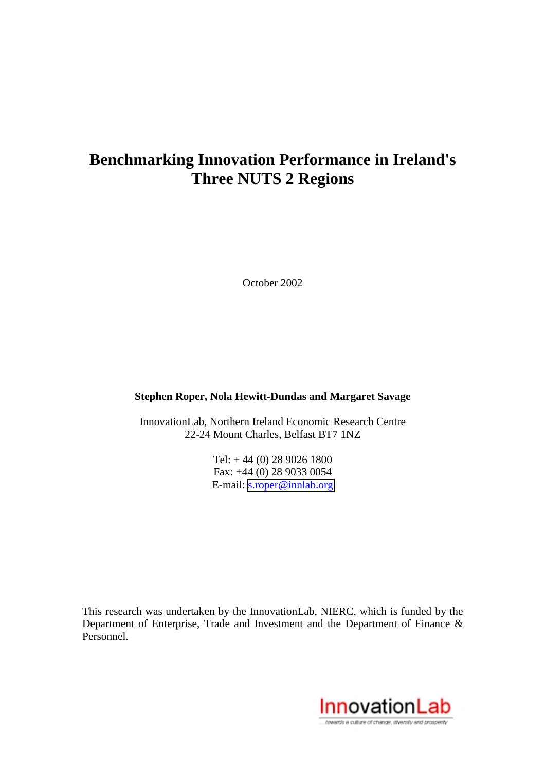# **Benchmarking Innovation Performance in Ireland's Three NUTS 2 Regions**

October 2002

## **Stephen Roper, Nola Hewitt-Dundas and Margaret Savage**

InnovationLab, Northern Ireland Economic Research Centre 22-24 Mount Charles, Belfast BT7 1NZ

> Tel: + 44 (0) 28 9026 1800 Fax: +44 (0) 28 9033 0054 E-mail: [s.roper@innlab.org](mailto:s.roper@innlab.org)

This research was undertaken by the InnovationLab, NIERC, which is funded by the Department of Enterprise, Trade and Investment and the Department of Finance & Personnel.

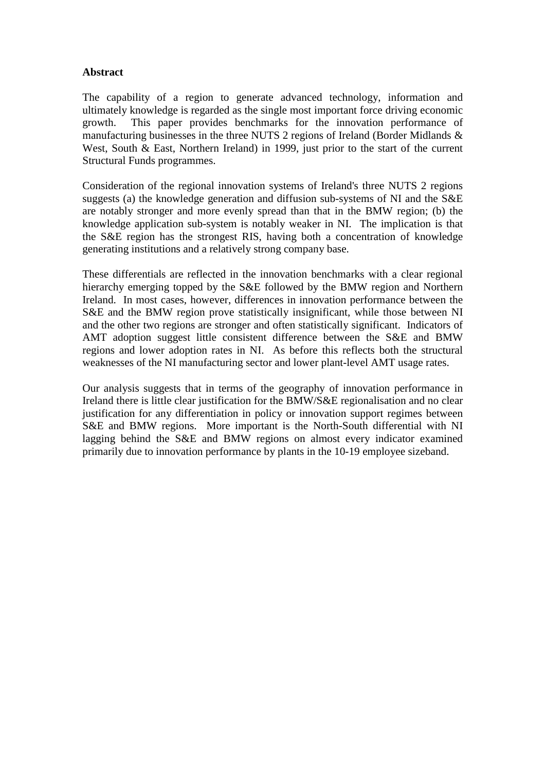## **Abstract**

The capability of a region to generate advanced technology, information and ultimately knowledge is regarded as the single most important force driving economic growth. This paper provides benchmarks for the innovation performance of manufacturing businesses in the three NUTS 2 regions of Ireland (Border Midlands & West, South & East, Northern Ireland) in 1999, just prior to the start of the current Structural Funds programmes.

Consideration of the regional innovation systems of Ireland's three NUTS 2 regions suggests (a) the knowledge generation and diffusion sub-systems of NI and the S&E are notably stronger and more evenly spread than that in the BMW region; (b) the knowledge application sub-system is notably weaker in NI. The implication is that the S&E region has the strongest RIS, having both a concentration of knowledge generating institutions and a relatively strong company base.

These differentials are reflected in the innovation benchmarks with a clear regional hierarchy emerging topped by the S&E followed by the BMW region and Northern Ireland. In most cases, however, differences in innovation performance between the S&E and the BMW region prove statistically insignificant, while those between NI and the other two regions are stronger and often statistically significant. Indicators of AMT adoption suggest little consistent difference between the S&E and BMW regions and lower adoption rates in NI. As before this reflects both the structural weaknesses of the NI manufacturing sector and lower plant-level AMT usage rates.

Our analysis suggests that in terms of the geography of innovation performance in Ireland there is little clear justification for the BMW/S&E regionalisation and no clear justification for any differentiation in policy or innovation support regimes between S&E and BMW regions. More important is the North-South differential with NI lagging behind the S&E and BMW regions on almost every indicator examined primarily due to innovation performance by plants in the 10-19 employee sizeband.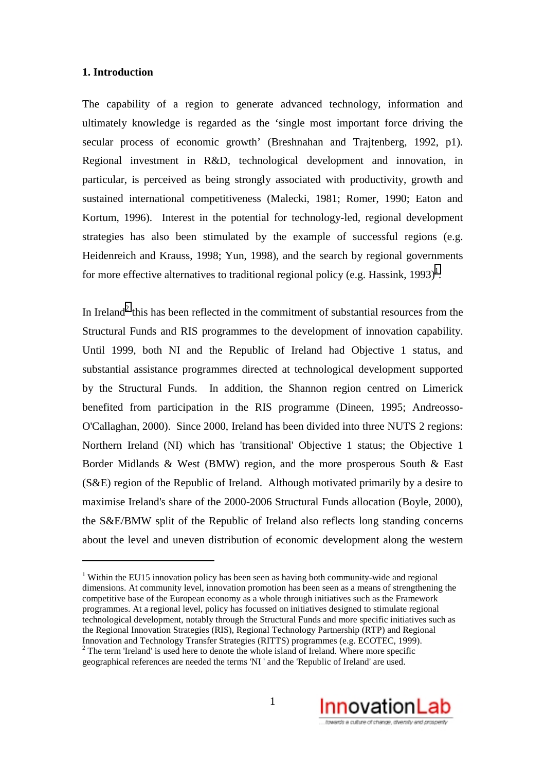#### **1. Introduction**

 $\overline{a}$ 

The capability of a region to generate advanced technology, information and ultimately knowledge is regarded as the 'single most important force driving the secular process of economic growth' (Breshnahan and Trajtenberg, 1992, p1). Regional investment in R&D, technological development and innovation, in particular, is perceived as being strongly associated with productivity, growth and sustained international competitiveness (Malecki, 1981; Romer, 1990; Eaton and Kortum, 1996). Interest in the potential for technology-led, regional development strategies has also been stimulated by the example of successful regions (e.g. Heidenreich and Krauss, 1998; Yun, 1998), and the search by regional governments for more effective alternatives to traditional regional policy (e.g. Hassink,  $1993$ )<sup>1</sup>.

In Ireland<sup>2</sup> this has been reflected in the commitment of substantial resources from the Structural Funds and RIS programmes to the development of innovation capability. Until 1999, both NI and the Republic of Ireland had Objective 1 status, and substantial assistance programmes directed at technological development supported by the Structural Funds. In addition, the Shannon region centred on Limerick benefited from participation in the RIS programme (Dineen, 1995; Andreosso-O'Callaghan, 2000). Since 2000, Ireland has been divided into three NUTS 2 regions: Northern Ireland (NI) which has 'transitional' Objective 1 status; the Objective 1 Border Midlands & West (BMW) region, and the more prosperous South & East (S&E) region of the Republic of Ireland. Although motivated primarily by a desire to maximise Ireland's share of the 2000-2006 Structural Funds allocation (Boyle, 2000), the S&E/BMW split of the Republic of Ireland also reflects long standing concerns about the level and uneven distribution of economic development along the western

<sup>&</sup>lt;sup>2</sup> The term 'Ireland' is used here to denote the whole island of Ireland. Where more specific geographical references are needed the terms 'NI ' and the 'Republic of Ireland' are used.



<sup>&</sup>lt;sup>1</sup> Within the EU15 innovation policy has been seen as having both community-wide and regional dimensions. At community level, innovation promotion has been seen as a means of strengthening the competitive base of the European economy as a whole through initiatives such as the Framework programmes. At a regional level, policy has focussed on initiatives designed to stimulate regional technological development, notably through the Structural Funds and more specific initiatives such as the Regional Innovation Strategies (RIS), Regional Technology Partnership (RTP) and Regional Innovation and Technology Transfer Strategies (RITTS) programmes (e.g. ECOTEC, 1999).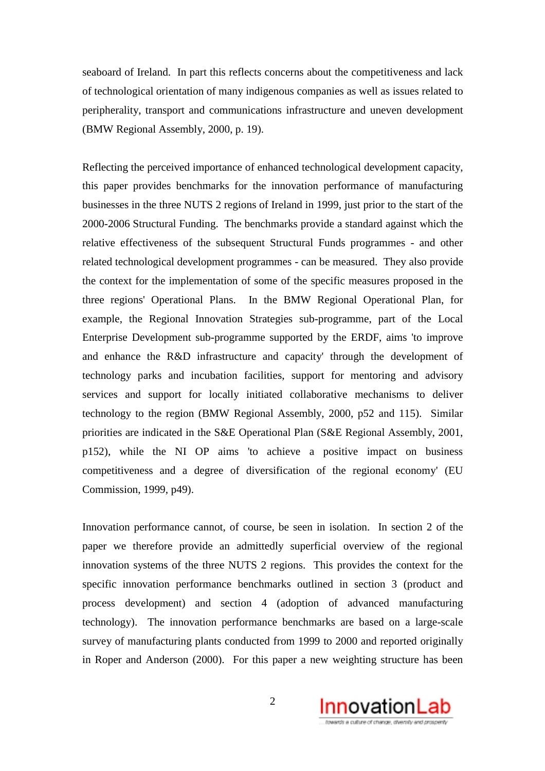seaboard of Ireland. In part this reflects concerns about the competitiveness and lack of technological orientation of many indigenous companies as well as issues related to peripherality, transport and communications infrastructure and uneven development (BMW Regional Assembly, 2000, p. 19).

Reflecting the perceived importance of enhanced technological development capacity, this paper provides benchmarks for the innovation performance of manufacturing businesses in the three NUTS 2 regions of Ireland in 1999, just prior to the start of the 2000-2006 Structural Funding. The benchmarks provide a standard against which the relative effectiveness of the subsequent Structural Funds programmes - and other related technological development programmes - can be measured. They also provide the context for the implementation of some of the specific measures proposed in the three regions' Operational Plans. In the BMW Regional Operational Plan, for example, the Regional Innovation Strategies sub-programme, part of the Local Enterprise Development sub-programme supported by the ERDF, aims 'to improve and enhance the R&D infrastructure and capacity' through the development of technology parks and incubation facilities, support for mentoring and advisory services and support for locally initiated collaborative mechanisms to deliver technology to the region (BMW Regional Assembly, 2000, p52 and 115). Similar priorities are indicated in the S&E Operational Plan (S&E Regional Assembly, 2001, p152), while the NI OP aims 'to achieve a positive impact on business competitiveness and a degree of diversification of the regional economy' (EU Commission, 1999, p49).

Innovation performance cannot, of course, be seen in isolation. In section 2 of the paper we therefore provide an admittedly superficial overview of the regional innovation systems of the three NUTS 2 regions. This provides the context for the specific innovation performance benchmarks outlined in section 3 (product and process development) and section 4 (adoption of advanced manufacturing technology). The innovation performance benchmarks are based on a large-scale survey of manufacturing plants conducted from 1999 to 2000 and reported originally in Roper and Anderson (2000). For this paper a new weighting structure has been

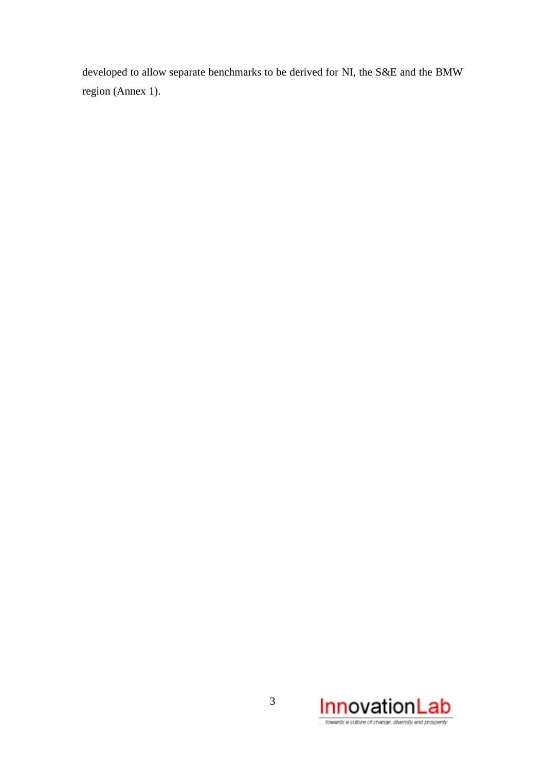developed to allow separate benchmarks to be derived for NI, the S&E and the BMW region (Annex 1).

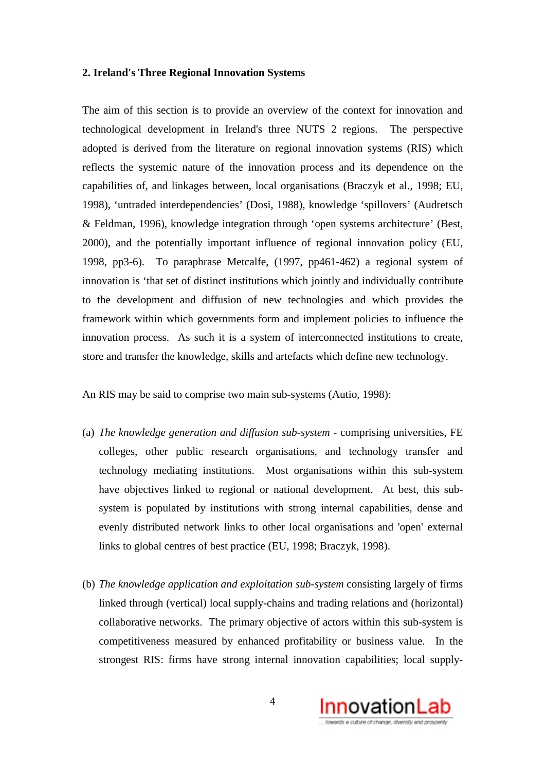#### **2. Ireland's Three Regional Innovation Systems**

The aim of this section is to provide an overview of the context for innovation and technological development in Ireland's three NUTS 2 regions. The perspective adopted is derived from the literature on regional innovation systems (RIS) which reflects the systemic nature of the innovation process and its dependence on the capabilities of, and linkages between, local organisations (Braczyk et al., 1998; EU, 1998), 'untraded interdependencies' (Dosi, 1988), knowledge 'spillovers' (Audretsch & Feldman, 1996), knowledge integration through 'open systems architecture' (Best, 2000), and the potentially important influence of regional innovation policy (EU, 1998, pp3-6). To paraphrase Metcalfe, (1997, pp461-462) a regional system of innovation is 'that set of distinct institutions which jointly and individually contribute to the development and diffusion of new technologies and which provides the framework within which governments form and implement policies to influence the innovation process. As such it is a system of interconnected institutions to create, store and transfer the knowledge, skills and artefacts which define new technology.

An RIS may be said to comprise two main sub-systems (Autio, 1998):

- (a) *The knowledge generation and diffusion sub-system*  comprising universities, FE colleges, other public research organisations, and technology transfer and technology mediating institutions. Most organisations within this sub-system have objectives linked to regional or national development. At best, this subsystem is populated by institutions with strong internal capabilities, dense and evenly distributed network links to other local organisations and 'open' external links to global centres of best practice (EU, 1998; Braczyk, 1998).
- (b) *The knowledge application and exploitation sub-system* consisting largely of firms linked through (vertical) local supply-chains and trading relations and (horizontal) collaborative networks. The primary objective of actors within this sub-system is competitiveness measured by enhanced profitability or business value. In the strongest RIS: firms have strong internal innovation capabilities; local supply-

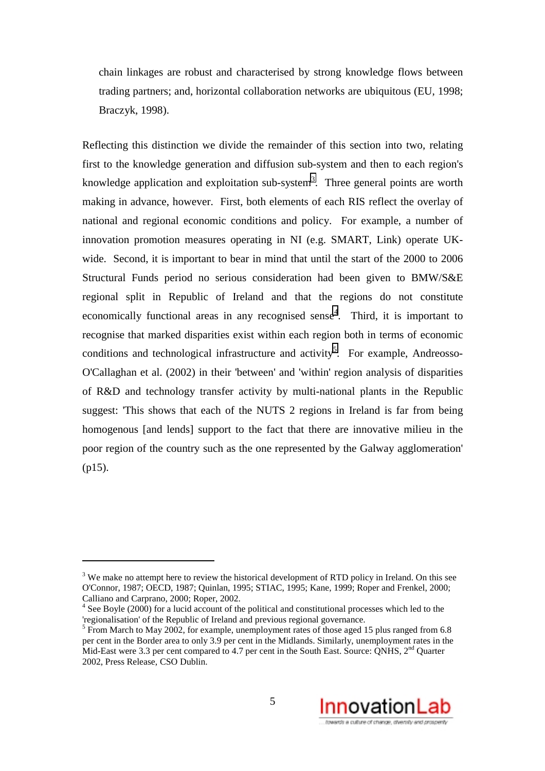chain linkages are robust and characterised by strong knowledge flows between trading partners; and, horizontal collaboration networks are ubiquitous (EU, 1998; Braczyk, 1998).

Reflecting this distinction we divide the remainder of this section into two, relating first to the knowledge generation and diffusion sub-system and then to each region's knowledge application and exploitation sub-system<sup>3</sup>. Three general points are worth making in advance, however. First, both elements of each RIS reflect the overlay of national and regional economic conditions and policy. For example, a number of innovation promotion measures operating in NI (e.g. SMART, Link) operate UKwide. Second, it is important to bear in mind that until the start of the 2000 to 2006 Structural Funds period no serious consideration had been given to BMW/S&E regional split in Republic of Ireland and that the regions do not constitute economically functional areas in any recognised sense<sup>4</sup>. Third, it is important to recognise that marked disparities exist within each region both in terms of economic conditions and technological infrastructure and activity<sup>5</sup>. For example, Andreosso-O'Callaghan et al. (2002) in their 'between' and 'within' region analysis of disparities of R&D and technology transfer activity by multi-national plants in the Republic suggest: 'This shows that each of the NUTS 2 regions in Ireland is far from being homogenous [and lends] support to the fact that there are innovative milieu in the poor region of the country such as the one represented by the Galway agglomeration' (p15).

 $\overline{a}$ 

 $<sup>5</sup>$  From March to May 2002, for example, unemployment rates of those aged 15 plus ranged from 6.8</sup> per cent in the Border area to only 3.9 per cent in the Midlands. Similarly, unemployment rates in the Mid-East were 3.3 per cent compared to 4.7 per cent in the South East. Source: ONHS, 2<sup>nd</sup> Quarter 2002, Press Release, CSO Dublin.



 $3$  We make no attempt here to review the historical development of RTD policy in Ireland. On this see O'Connor, 1987; OECD, 1987; Quinlan, 1995; STIAC, 1995; Kane, 1999; Roper and Frenkel, 2000; Calliano and Carprano, 2000; Roper, 2002.

<sup>&</sup>lt;sup>4</sup> See Boyle (2000) for a lucid account of the political and constitutional processes which led to the 'regionalisation' of the Republic of Ireland and previous regional governance.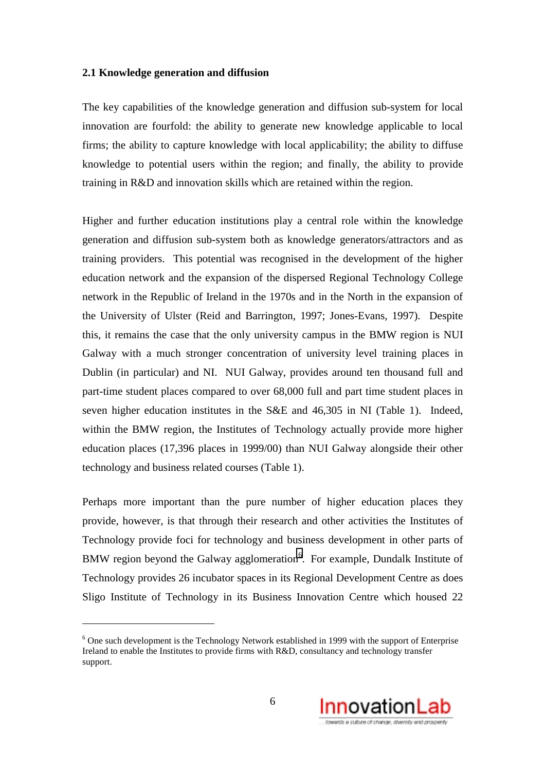#### **2.1 Knowledge generation and diffusion**

The key capabilities of the knowledge generation and diffusion sub-system for local innovation are fourfold: the ability to generate new knowledge applicable to local firms; the ability to capture knowledge with local applicability; the ability to diffuse knowledge to potential users within the region; and finally, the ability to provide training in R&D and innovation skills which are retained within the region.

Higher and further education institutions play a central role within the knowledge generation and diffusion sub-system both as knowledge generators/attractors and as training providers. This potential was recognised in the development of the higher education network and the expansion of the dispersed Regional Technology College network in the Republic of Ireland in the 1970s and in the North in the expansion of the University of Ulster (Reid and Barrington, 1997; Jones-Evans, 1997). Despite this, it remains the case that the only university campus in the BMW region is NUI Galway with a much stronger concentration of university level training places in Dublin (in particular) and NI. NUI Galway, provides around ten thousand full and part-time student places compared to over 68,000 full and part time student places in seven higher education institutes in the S&E and 46,305 in NI (Table 1). Indeed, within the BMW region, the Institutes of Technology actually provide more higher education places (17,396 places in 1999/00) than NUI Galway alongside their other technology and business related courses (Table 1).

Perhaps more important than the pure number of higher education places they provide, however, is that through their research and other activities the Institutes of Technology provide foci for technology and business development in other parts of BMW region beyond the Galway agglomeration $6$ . For example, Dundalk Institute of Technology provides 26 incubator spaces in its Regional Development Centre as does Sligo Institute of Technology in its Business Innovation Centre which housed 22

 $\overline{a}$ 



 $6$  One such development is the Technology Network established in 1999 with the support of Enterprise Ireland to enable the Institutes to provide firms with R&D, consultancy and technology transfer support.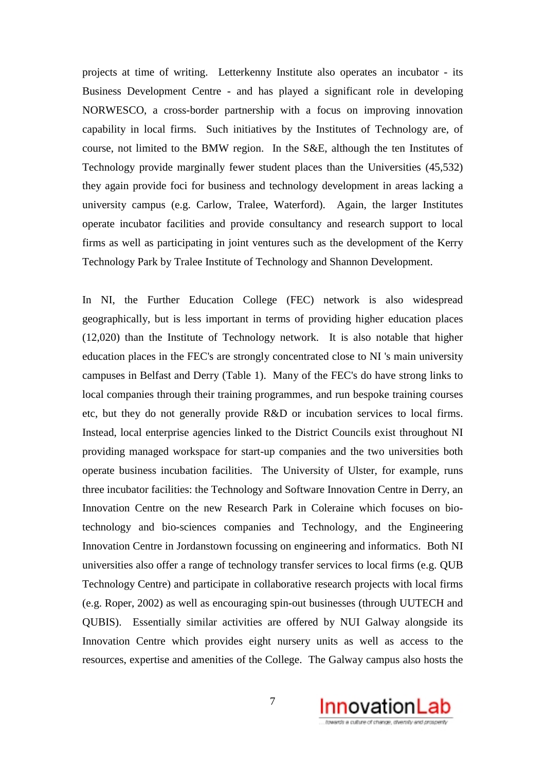projects at time of writing. Letterkenny Institute also operates an incubator - its Business Development Centre - and has played a significant role in developing NORWESCO, a cross-border partnership with a focus on improving innovation capability in local firms. Such initiatives by the Institutes of Technology are, of course, not limited to the BMW region. In the S&E, although the ten Institutes of Technology provide marginally fewer student places than the Universities (45,532) they again provide foci for business and technology development in areas lacking a university campus (e.g. Carlow, Tralee, Waterford). Again, the larger Institutes operate incubator facilities and provide consultancy and research support to local firms as well as participating in joint ventures such as the development of the Kerry Technology Park by Tralee Institute of Technology and Shannon Development.

In NI, the Further Education College (FEC) network is also widespread geographically, but is less important in terms of providing higher education places (12,020) than the Institute of Technology network. It is also notable that higher education places in the FEC's are strongly concentrated close to NI 's main university campuses in Belfast and Derry (Table 1). Many of the FEC's do have strong links to local companies through their training programmes, and run bespoke training courses etc, but they do not generally provide R&D or incubation services to local firms. Instead, local enterprise agencies linked to the District Councils exist throughout NI providing managed workspace for start-up companies and the two universities both operate business incubation facilities. The University of Ulster, for example, runs three incubator facilities: the Technology and Software Innovation Centre in Derry, an Innovation Centre on the new Research Park in Coleraine which focuses on biotechnology and bio-sciences companies and Technology, and the Engineering Innovation Centre in Jordanstown focussing on engineering and informatics. Both NI universities also offer a range of technology transfer services to local firms (e.g. QUB Technology Centre) and participate in collaborative research projects with local firms (e.g. Roper, 2002) as well as encouraging spin-out businesses (through UUTECH and QUBIS). Essentially similar activities are offered by NUI Galway alongside its Innovation Centre which provides eight nursery units as well as access to the resources, expertise and amenities of the College. The Galway campus also hosts the

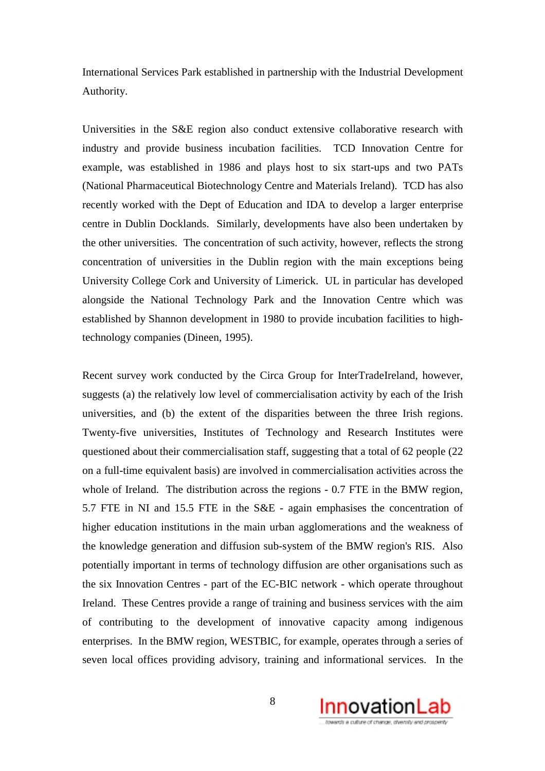International Services Park established in partnership with the Industrial Development Authority.

Universities in the S&E region also conduct extensive collaborative research with industry and provide business incubation facilities. TCD Innovation Centre for example, was established in 1986 and plays host to six start-ups and two PATs (National Pharmaceutical Biotechnology Centre and Materials Ireland). TCD has also recently worked with the Dept of Education and IDA to develop a larger enterprise centre in Dublin Docklands. Similarly, developments have also been undertaken by the other universities. The concentration of such activity, however, reflects the strong concentration of universities in the Dublin region with the main exceptions being University College Cork and University of Limerick. UL in particular has developed alongside the National Technology Park and the Innovation Centre which was established by Shannon development in 1980 to provide incubation facilities to hightechnology companies (Dineen, 1995).

Recent survey work conducted by the Circa Group for InterTradeIreland, however, suggests (a) the relatively low level of commercialisation activity by each of the Irish universities, and (b) the extent of the disparities between the three Irish regions. Twenty-five universities, Institutes of Technology and Research Institutes were questioned about their commercialisation staff, suggesting that a total of 62 people (22 on a full-time equivalent basis) are involved in commercialisation activities across the whole of Ireland. The distribution across the regions - 0.7 FTE in the BMW region, 5.7 FTE in NI and 15.5 FTE in the S&E - again emphasises the concentration of higher education institutions in the main urban agglomerations and the weakness of the knowledge generation and diffusion sub-system of the BMW region's RIS. Also potentially important in terms of technology diffusion are other organisations such as the six Innovation Centres - part of the EC-BIC network - which operate throughout Ireland. These Centres provide a range of training and business services with the aim of contributing to the development of innovative capacity among indigenous enterprises. In the BMW region, WESTBIC, for example, operates through a series of seven local offices providing advisory, training and informational services. In the

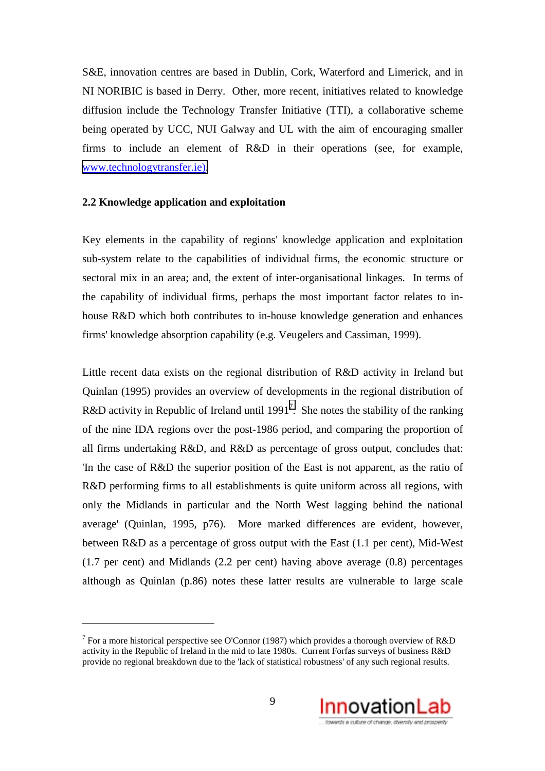S&E, innovation centres are based in Dublin, Cork, Waterford and Limerick, and in NI NORIBIC is based in Derry. Other, more recent, initiatives related to knowledge diffusion include the Technology Transfer Initiative (TTI), a collaborative scheme being operated by UCC, NUI Galway and UL with the aim of encouraging smaller firms to include an element of R&D in their operations (see, for example, [www.technologytransfer.ie\).](http://www.technologytransfer.ie)/)

#### **2.2 Knowledge application and exploitation**

 $\overline{a}$ 

Key elements in the capability of regions' knowledge application and exploitation sub-system relate to the capabilities of individual firms, the economic structure or sectoral mix in an area; and, the extent of inter-organisational linkages. In terms of the capability of individual firms, perhaps the most important factor relates to inhouse R&D which both contributes to in-house knowledge generation and enhances firms' knowledge absorption capability (e.g. Veugelers and Cassiman, 1999).

Little recent data exists on the regional distribution of R&D activity in Ireland but Quinlan (1995) provides an overview of developments in the regional distribution of R&D activity in Republic of Ireland until 1991<sup>7</sup>. She notes the stability of the ranking of the nine IDA regions over the post-1986 period, and comparing the proportion of all firms undertaking R&D, and R&D as percentage of gross output, concludes that: 'In the case of R&D the superior position of the East is not apparent, as the ratio of R&D performing firms to all establishments is quite uniform across all regions, with only the Midlands in particular and the North West lagging behind the national average' (Quinlan, 1995, p76). More marked differences are evident, however, between R&D as a percentage of gross output with the East (1.1 per cent), Mid-West (1.7 per cent) and Midlands (2.2 per cent) having above average (0.8) percentages although as Quinlan (p.86) notes these latter results are vulnerable to large scale

<sup>&</sup>lt;sup>7</sup> For a more historical perspective see O'Connor (1987) which provides a thorough overview of R&D activity in the Republic of Ireland in the mid to late 1980s. Current Forfas surveys of business R&D provide no regional breakdown due to the 'lack of statistical robustness' of any such regional results.

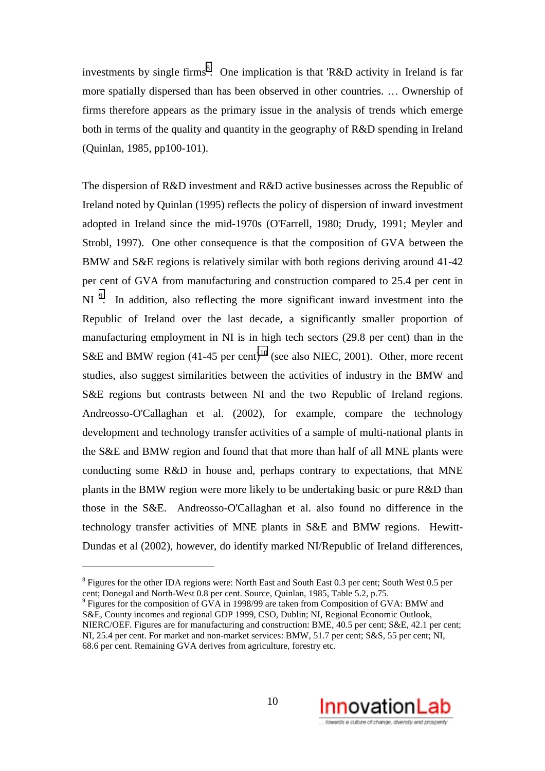investments by single firms<sup>8</sup>. One implication is that 'R&D activity in Ireland is far more spatially dispersed than has been observed in other countries. … Ownership of firms therefore appears as the primary issue in the analysis of trends which emerge both in terms of the quality and quantity in the geography of R&D spending in Ireland (Quinlan, 1985, pp100-101).

The dispersion of R&D investment and R&D active businesses across the Republic of Ireland noted by Quinlan (1995) reflects the policy of dispersion of inward investment adopted in Ireland since the mid-1970s (O'Farrell, 1980; Drudy, 1991; Meyler and Strobl, 1997). One other consequence is that the composition of GVA between the BMW and S&E regions is relatively similar with both regions deriving around 41-42 per cent of GVA from manufacturing and construction compared to 25.4 per cent in NI<sup>9</sup>. In addition, also reflecting the more significant inward investment into the Republic of Ireland over the last decade, a significantly smaller proportion of manufacturing employment in NI is in high tech sectors (29.8 per cent) than in the S&E and BMW region  $(41-45 \text{ per cent})^{10}$  (see also NIEC, 2001). Other, more recent studies, also suggest similarities between the activities of industry in the BMW and S&E regions but contrasts between NI and the two Republic of Ireland regions. Andreosso-O'Callaghan et al. (2002), for example, compare the technology development and technology transfer activities of a sample of multi-national plants in the S&E and BMW region and found that that more than half of all MNE plants were conducting some R&D in house and, perhaps contrary to expectations, that MNE plants in the BMW region were more likely to be undertaking basic or pure R&D than those in the S&E. Andreosso-O'Callaghan et al. also found no difference in the technology transfer activities of MNE plants in S&E and BMW regions. Hewitt-Dundas et al (2002), however, do identify marked NI/Republic of Ireland differences,

 $\overline{a}$ 



 $8$  Figures for the other IDA regions were: North East and South East 0.3 per cent; South West 0.5 per cent; Donegal and North-West 0.8 per cent. Source, Quinlan, 1985, Table 5.2, p.75.

<sup>&</sup>lt;sup>9</sup> Figures for the composition of GVA in 1998/99 are taken from Composition of GVA: BMW and S&E, County incomes and regional GDP 1999, CSO, Dublin; NI, Regional Economic Outlook, NIERC/OEF. Figures are for manufacturing and construction: BME, 40.5 per cent; S&E, 42.1 per cent; NI, 25.4 per cent. For market and non-market services: BMW, 51.7 per cent; S&S, 55 per cent; NI, 68.6 per cent. Remaining GVA derives from agriculture, forestry etc.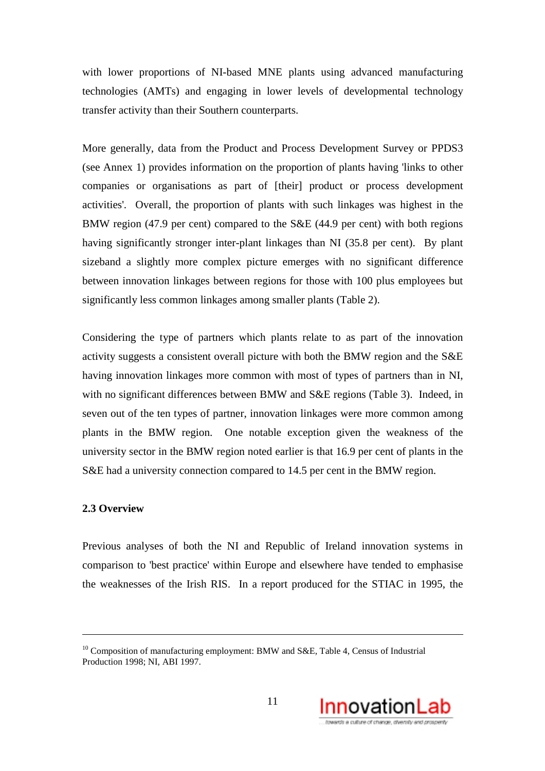with lower proportions of NI-based MNE plants using advanced manufacturing technologies (AMTs) and engaging in lower levels of developmental technology transfer activity than their Southern counterparts.

More generally, data from the Product and Process Development Survey or PPDS3 (see Annex 1) provides information on the proportion of plants having 'links to other companies or organisations as part of [their] product or process development activities'. Overall, the proportion of plants with such linkages was highest in the BMW region (47.9 per cent) compared to the S&E (44.9 per cent) with both regions having significantly stronger inter-plant linkages than NI (35.8 per cent). By plant sizeband a slightly more complex picture emerges with no significant difference between innovation linkages between regions for those with 100 plus employees but significantly less common linkages among smaller plants (Table 2).

Considering the type of partners which plants relate to as part of the innovation activity suggests a consistent overall picture with both the BMW region and the S&E having innovation linkages more common with most of types of partners than in NI, with no significant differences between BMW and S&E regions (Table 3). Indeed, in seven out of the ten types of partner, innovation linkages were more common among plants in the BMW region. One notable exception given the weakness of the university sector in the BMW region noted earlier is that 16.9 per cent of plants in the S&E had a university connection compared to 14.5 per cent in the BMW region.

#### **2.3 Overview**

<u>.</u>

Previous analyses of both the NI and Republic of Ireland innovation systems in comparison to 'best practice' within Europe and elsewhere have tended to emphasise the weaknesses of the Irish RIS. In a report produced for the STIAC in 1995, the

<sup>&</sup>lt;sup>10</sup> Composition of manufacturing employment: BMW and S&E, Table 4, Census of Industrial Production 1998; NI, ABI 1997.

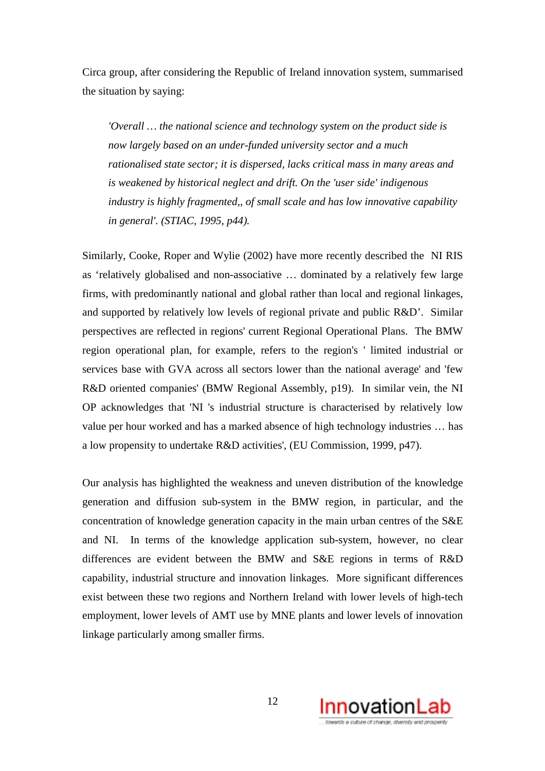Circa group, after considering the Republic of Ireland innovation system, summarised the situation by saying:

*'Overall … the national science and technology system on the product side is now largely based on an under-funded university sector and a much rationalised state sector; it is dispersed, lacks critical mass in many areas and is weakened by historical neglect and drift. On the 'user side' indigenous industry is highly fragmented,, of small scale and has low innovative capability in general'. (STIAC, 1995, p44).*

Similarly, Cooke, Roper and Wylie (2002) have more recently described the NI RIS as 'relatively globalised and non-associative … dominated by a relatively few large firms, with predominantly national and global rather than local and regional linkages, and supported by relatively low levels of regional private and public R&D'. Similar perspectives are reflected in regions' current Regional Operational Plans. The BMW region operational plan, for example, refers to the region's ' limited industrial or services base with GVA across all sectors lower than the national average' and 'few R&D oriented companies' (BMW Regional Assembly, p19). In similar vein, the NI OP acknowledges that 'NI 's industrial structure is characterised by relatively low value per hour worked and has a marked absence of high technology industries … has a low propensity to undertake R&D activities', (EU Commission, 1999, p47).

Our analysis has highlighted the weakness and uneven distribution of the knowledge generation and diffusion sub-system in the BMW region, in particular, and the concentration of knowledge generation capacity in the main urban centres of the S&E and NI. In terms of the knowledge application sub-system, however, no clear differences are evident between the BMW and S&E regions in terms of R&D capability, industrial structure and innovation linkages. More significant differences exist between these two regions and Northern Ireland with lower levels of high-tech employment, lower levels of AMT use by MNE plants and lower levels of innovation linkage particularly among smaller firms.

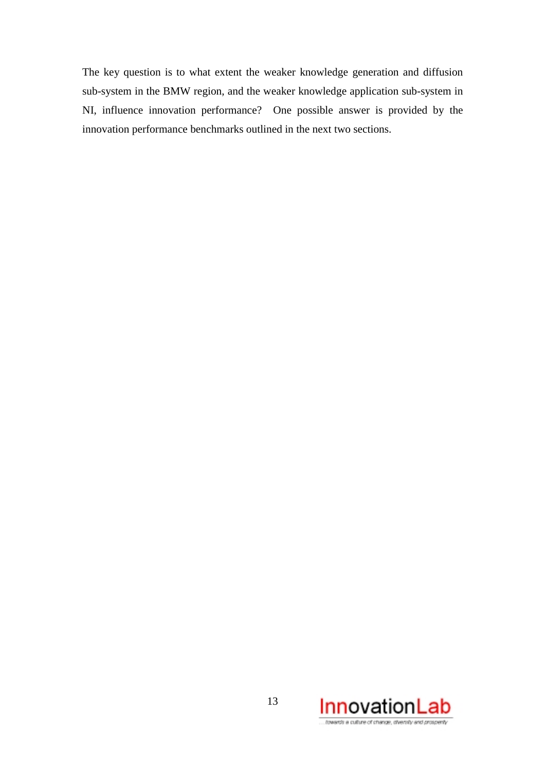The key question is to what extent the weaker knowledge generation and diffusion sub-system in the BMW region, and the weaker knowledge application sub-system in NI, influence innovation performance? One possible answer is provided by the innovation performance benchmarks outlined in the next two sections.

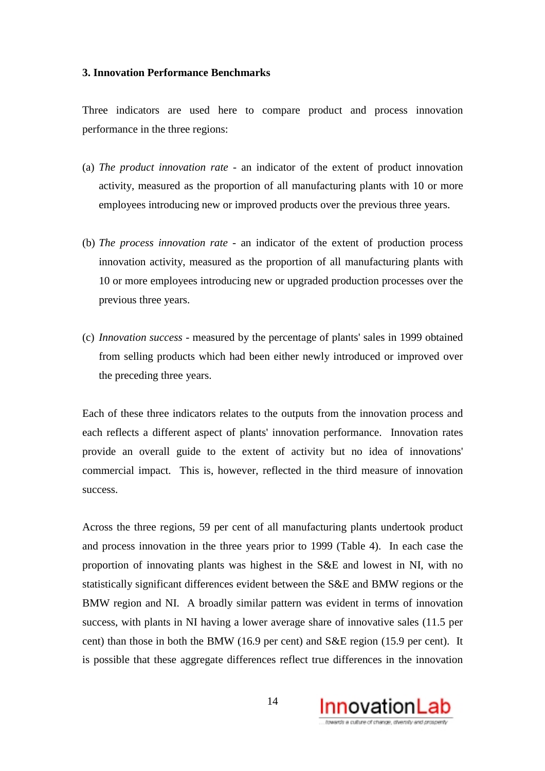#### **3. Innovation Performance Benchmarks**

Three indicators are used here to compare product and process innovation performance in the three regions:

- (a) *The product innovation rate* an indicator of the extent of product innovation activity, measured as the proportion of all manufacturing plants with 10 or more employees introducing new or improved products over the previous three years.
- (b) *The process innovation rate* an indicator of the extent of production process innovation activity, measured as the proportion of all manufacturing plants with 10 or more employees introducing new or upgraded production processes over the previous three years.
- (c) *Innovation success* measured by the percentage of plants' sales in 1999 obtained from selling products which had been either newly introduced or improved over the preceding three years.

Each of these three indicators relates to the outputs from the innovation process and each reflects a different aspect of plants' innovation performance. Innovation rates provide an overall guide to the extent of activity but no idea of innovations' commercial impact. This is, however, reflected in the third measure of innovation success.

Across the three regions, 59 per cent of all manufacturing plants undertook product and process innovation in the three years prior to 1999 (Table 4). In each case the proportion of innovating plants was highest in the S&E and lowest in NI, with no statistically significant differences evident between the S&E and BMW regions or the BMW region and NI. A broadly similar pattern was evident in terms of innovation success, with plants in NI having a lower average share of innovative sales (11.5 per cent) than those in both the BMW (16.9 per cent) and S&E region (15.9 per cent). It is possible that these aggregate differences reflect true differences in the innovation

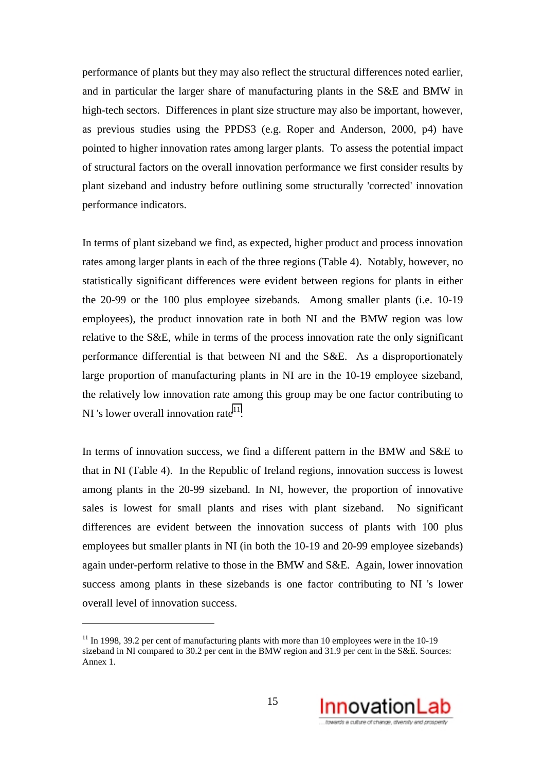performance of plants but they may also reflect the structural differences noted earlier, and in particular the larger share of manufacturing plants in the S&E and BMW in high-tech sectors. Differences in plant size structure may also be important, however, as previous studies using the PPDS3 (e.g. Roper and Anderson, 2000, p4) have pointed to higher innovation rates among larger plants. To assess the potential impact of structural factors on the overall innovation performance we first consider results by plant sizeband and industry before outlining some structurally 'corrected' innovation performance indicators.

In terms of plant sizeband we find, as expected, higher product and process innovation rates among larger plants in each of the three regions (Table 4). Notably, however, no statistically significant differences were evident between regions for plants in either the 20-99 or the 100 plus employee sizebands. Among smaller plants (i.e. 10-19 employees), the product innovation rate in both NI and the BMW region was low relative to the S&E, while in terms of the process innovation rate the only significant performance differential is that between NI and the S&E. As a disproportionately large proportion of manufacturing plants in NI are in the 10-19 employee sizeband, the relatively low innovation rate among this group may be one factor contributing to NI 's lower overall innovation rate $11$ .

In terms of innovation success, we find a different pattern in the BMW and S&E to that in NI (Table 4). In the Republic of Ireland regions, innovation success is lowest among plants in the 20-99 sizeband. In NI, however, the proportion of innovative sales is lowest for small plants and rises with plant sizeband. No significant differences are evident between the innovation success of plants with 100 plus employees but smaller plants in NI (in both the 10-19 and 20-99 employee sizebands) again under-perform relative to those in the BMW and S&E. Again, lower innovation success among plants in these sizebands is one factor contributing to NI 's lower overall level of innovation success.

 $\overline{a}$ 



 $11$  In 1998, 39.2 per cent of manufacturing plants with more than 10 employees were in the 10-19 sizeband in NI compared to 30.2 per cent in the BMW region and 31.9 per cent in the S&E. Sources: Annex 1.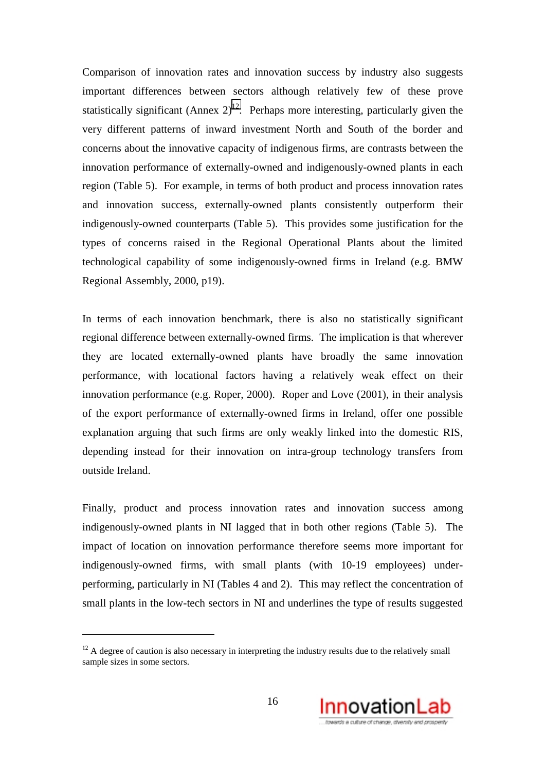Comparison of innovation rates and innovation success by industry also suggests important differences between sectors although relatively few of these prove statistically significant (Annex  $2^{12}$ . Perhaps more interesting, particularly given the very different patterns of inward investment North and South of the border and concerns about the innovative capacity of indigenous firms, are contrasts between the innovation performance of externally-owned and indigenously-owned plants in each region (Table 5). For example, in terms of both product and process innovation rates and innovation success, externally-owned plants consistently outperform their indigenously-owned counterparts (Table 5). This provides some justification for the types of concerns raised in the Regional Operational Plants about the limited technological capability of some indigenously-owned firms in Ireland (e.g. BMW Regional Assembly, 2000, p19).

In terms of each innovation benchmark, there is also no statistically significant regional difference between externally-owned firms. The implication is that wherever they are located externally-owned plants have broadly the same innovation performance, with locational factors having a relatively weak effect on their innovation performance (e.g. Roper, 2000). Roper and Love (2001), in their analysis of the export performance of externally-owned firms in Ireland, offer one possible explanation arguing that such firms are only weakly linked into the domestic RIS, depending instead for their innovation on intra-group technology transfers from outside Ireland.

Finally, product and process innovation rates and innovation success among indigenously-owned plants in NI lagged that in both other regions (Table 5). The impact of location on innovation performance therefore seems more important for indigenously-owned firms, with small plants (with 10-19 employees) underperforming, particularly in NI (Tables 4 and 2). This may reflect the concentration of small plants in the low-tech sectors in NI and underlines the type of results suggested

 $\overline{a}$ 



 $12$  A degree of caution is also necessary in interpreting the industry results due to the relatively small sample sizes in some sectors.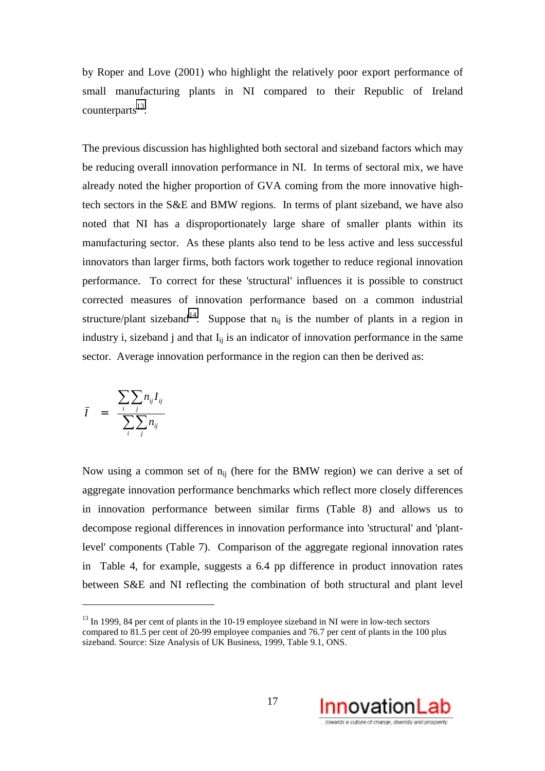by Roper and Love (2001) who highlight the relatively poor export performance of small manufacturing plants in NI compared to their Republic of Ireland  $counterparts<sup>13</sup>$ .

The previous discussion has highlighted both sectoral and sizeband factors which may be reducing overall innovation performance in NI. In terms of sectoral mix, we have already noted the higher proportion of GVA coming from the more innovative hightech sectors in the S&E and BMW regions. In terms of plant sizeband, we have also noted that NI has a disproportionately large share of smaller plants within its manufacturing sector. As these plants also tend to be less active and less successful innovators than larger firms, both factors work together to reduce regional innovation performance. To correct for these 'structural' influences it is possible to construct corrected measures of innovation performance based on a common industrial structure/plant sizeband<sup>14</sup>. Suppose that  $n_{ij}$  is the number of plants in a region in industry i, sizeband j and that  $I_{ii}$  is an indicator of innovation performance in the same sector. Average innovation performance in the region can then be derived as:

$$
\bar{I} = \frac{\sum_{i} \sum_{j} n_{ij} I_{ij}}{\sum_{i} \sum_{j} n_{ij}}
$$

 $\overline{a}$ 

Now using a common set of  $n_{ii}$  (here for the BMW region) we can derive a set of aggregate innovation performance benchmarks which reflect more closely differences in innovation performance between similar firms (Table 8) and allows us to decompose regional differences in innovation performance into 'structural' and 'plantlevel' components (Table 7). Comparison of the aggregate regional innovation rates in Table 4, for example, suggests a 6.4 pp difference in product innovation rates between S&E and NI reflecting the combination of both structural and plant level



 $13$  In 1999, 84 per cent of plants in the 10-19 employee sizeband in NI were in low-tech sectors compared to 81.5 per cent of 20-99 employee companies and 76.7 per cent of plants in the 100 plus sizeband. Source: Size Analysis of UK Business, 1999, Table 9.1, ONS.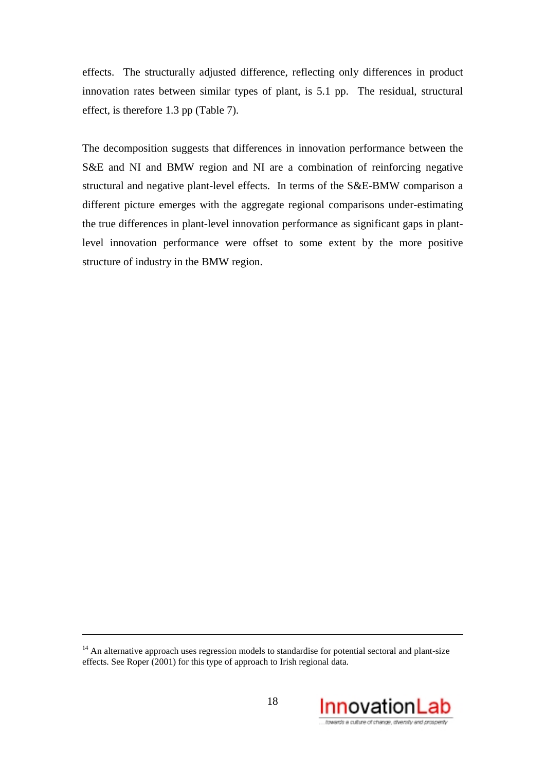effects. The structurally adjusted difference, reflecting only differences in product innovation rates between similar types of plant, is 5.1 pp. The residual, structural effect, is therefore 1.3 pp (Table 7).

The decomposition suggests that differences in innovation performance between the S&E and NI and BMW region and NI are a combination of reinforcing negative structural and negative plant-level effects. In terms of the S&E-BMW comparison a different picture emerges with the aggregate regional comparisons under-estimating the true differences in plant-level innovation performance as significant gaps in plantlevel innovation performance were offset to some extent by the more positive structure of industry in the BMW region.

<u>.</u>



<sup>&</sup>lt;sup>14</sup> An alternative approach uses regression models to standardise for potential sectoral and plant-size effects. See Roper (2001) for this type of approach to Irish regional data.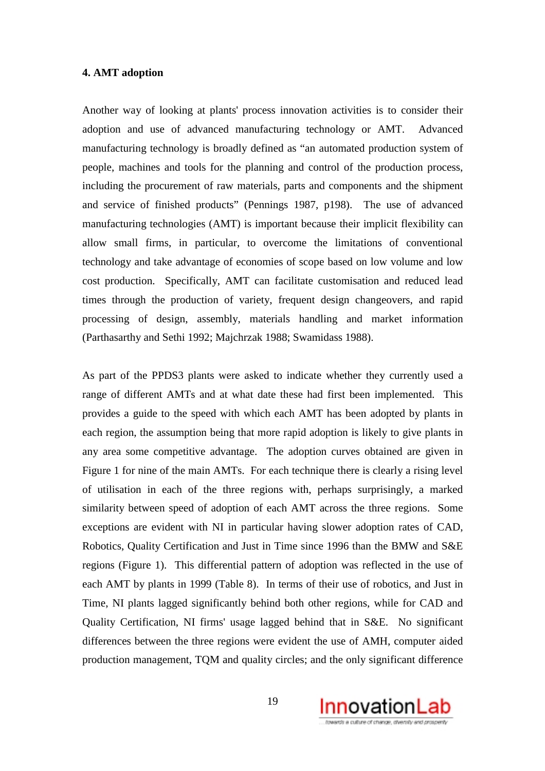#### **4. AMT adoption**

Another way of looking at plants' process innovation activities is to consider their adoption and use of advanced manufacturing technology or AMT. Advanced manufacturing technology is broadly defined as "an automated production system of people, machines and tools for the planning and control of the production process, including the procurement of raw materials, parts and components and the shipment and service of finished products" (Pennings 1987, p198). The use of advanced manufacturing technologies (AMT) is important because their implicit flexibility can allow small firms, in particular, to overcome the limitations of conventional technology and take advantage of economies of scope based on low volume and low cost production. Specifically, AMT can facilitate customisation and reduced lead times through the production of variety, frequent design changeovers, and rapid processing of design, assembly, materials handling and market information (Parthasarthy and Sethi 1992; Majchrzak 1988; Swamidass 1988).

As part of the PPDS3 plants were asked to indicate whether they currently used a range of different AMTs and at what date these had first been implemented. This provides a guide to the speed with which each AMT has been adopted by plants in each region, the assumption being that more rapid adoption is likely to give plants in any area some competitive advantage. The adoption curves obtained are given in Figure 1 for nine of the main AMTs. For each technique there is clearly a rising level of utilisation in each of the three regions with, perhaps surprisingly, a marked similarity between speed of adoption of each AMT across the three regions. Some exceptions are evident with NI in particular having slower adoption rates of CAD, Robotics, Quality Certification and Just in Time since 1996 than the BMW and S&E regions (Figure 1). This differential pattern of adoption was reflected in the use of each AMT by plants in 1999 (Table 8). In terms of their use of robotics, and Just in Time, NI plants lagged significantly behind both other regions, while for CAD and Quality Certification, NI firms' usage lagged behind that in S&E. No significant differences between the three regions were evident the use of AMH, computer aided production management, TQM and quality circles; and the only significant difference

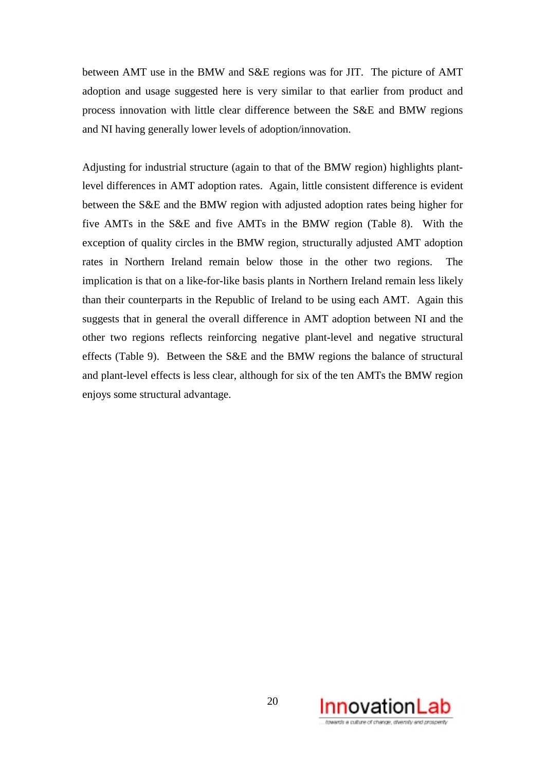between AMT use in the BMW and S&E regions was for JIT. The picture of AMT adoption and usage suggested here is very similar to that earlier from product and process innovation with little clear difference between the S&E and BMW regions and NI having generally lower levels of adoption/innovation.

Adjusting for industrial structure (again to that of the BMW region) highlights plantlevel differences in AMT adoption rates. Again, little consistent difference is evident between the S&E and the BMW region with adjusted adoption rates being higher for five AMTs in the S&E and five AMTs in the BMW region (Table 8). With the exception of quality circles in the BMW region, structurally adjusted AMT adoption rates in Northern Ireland remain below those in the other two regions. The implication is that on a like-for-like basis plants in Northern Ireland remain less likely than their counterparts in the Republic of Ireland to be using each AMT. Again this suggests that in general the overall difference in AMT adoption between NI and the other two regions reflects reinforcing negative plant-level and negative structural effects (Table 9). Between the S&E and the BMW regions the balance of structural and plant-level effects is less clear, although for six of the ten AMTs the BMW region enjoys some structural advantage.

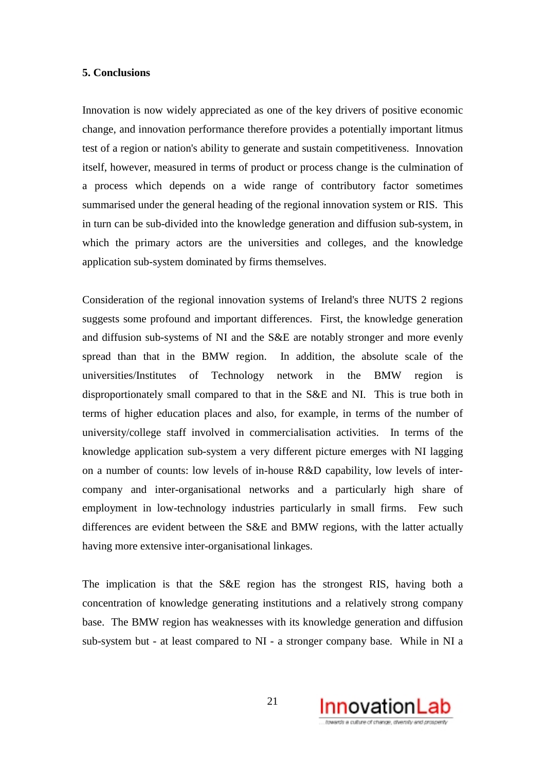#### **5. Conclusions**

Innovation is now widely appreciated as one of the key drivers of positive economic change, and innovation performance therefore provides a potentially important litmus test of a region or nation's ability to generate and sustain competitiveness. Innovation itself, however, measured in terms of product or process change is the culmination of a process which depends on a wide range of contributory factor sometimes summarised under the general heading of the regional innovation system or RIS. This in turn can be sub-divided into the knowledge generation and diffusion sub-system, in which the primary actors are the universities and colleges, and the knowledge application sub-system dominated by firms themselves.

Consideration of the regional innovation systems of Ireland's three NUTS 2 regions suggests some profound and important differences. First, the knowledge generation and diffusion sub-systems of NI and the S&E are notably stronger and more evenly spread than that in the BMW region. In addition, the absolute scale of the universities/Institutes of Technology network in the BMW region is disproportionately small compared to that in the S&E and NI. This is true both in terms of higher education places and also, for example, in terms of the number of university/college staff involved in commercialisation activities. In terms of the knowledge application sub-system a very different picture emerges with NI lagging on a number of counts: low levels of in-house R&D capability, low levels of intercompany and inter-organisational networks and a particularly high share of employment in low-technology industries particularly in small firms. Few such differences are evident between the S&E and BMW regions, with the latter actually having more extensive inter-organisational linkages.

The implication is that the S&E region has the strongest RIS, having both a concentration of knowledge generating institutions and a relatively strong company base. The BMW region has weaknesses with its knowledge generation and diffusion sub-system but - at least compared to NI - a stronger company base. While in NI a

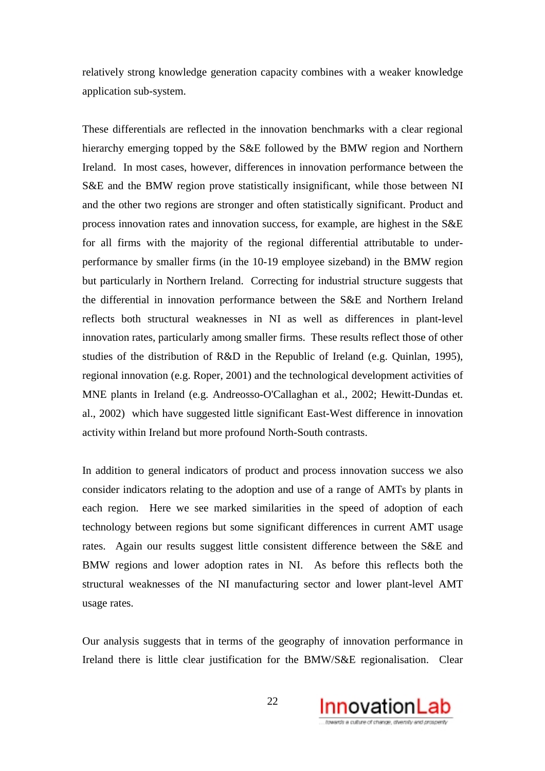relatively strong knowledge generation capacity combines with a weaker knowledge application sub-system.

These differentials are reflected in the innovation benchmarks with a clear regional hierarchy emerging topped by the S&E followed by the BMW region and Northern Ireland. In most cases, however, differences in innovation performance between the S&E and the BMW region prove statistically insignificant, while those between NI and the other two regions are stronger and often statistically significant. Product and process innovation rates and innovation success, for example, are highest in the S&E for all firms with the majority of the regional differential attributable to underperformance by smaller firms (in the 10-19 employee sizeband) in the BMW region but particularly in Northern Ireland. Correcting for industrial structure suggests that the differential in innovation performance between the S&E and Northern Ireland reflects both structural weaknesses in NI as well as differences in plant-level innovation rates, particularly among smaller firms. These results reflect those of other studies of the distribution of R&D in the Republic of Ireland (e.g. Quinlan, 1995), regional innovation (e.g. Roper, 2001) and the technological development activities of MNE plants in Ireland (e.g. Andreosso-O'Callaghan et al., 2002; Hewitt-Dundas et. al., 2002) which have suggested little significant East-West difference in innovation activity within Ireland but more profound North-South contrasts.

In addition to general indicators of product and process innovation success we also consider indicators relating to the adoption and use of a range of AMTs by plants in each region. Here we see marked similarities in the speed of adoption of each technology between regions but some significant differences in current AMT usage rates. Again our results suggest little consistent difference between the S&E and BMW regions and lower adoption rates in NI. As before this reflects both the structural weaknesses of the NI manufacturing sector and lower plant-level AMT usage rates.

Our analysis suggests that in terms of the geography of innovation performance in Ireland there is little clear justification for the BMW/S&E regionalisation. Clear

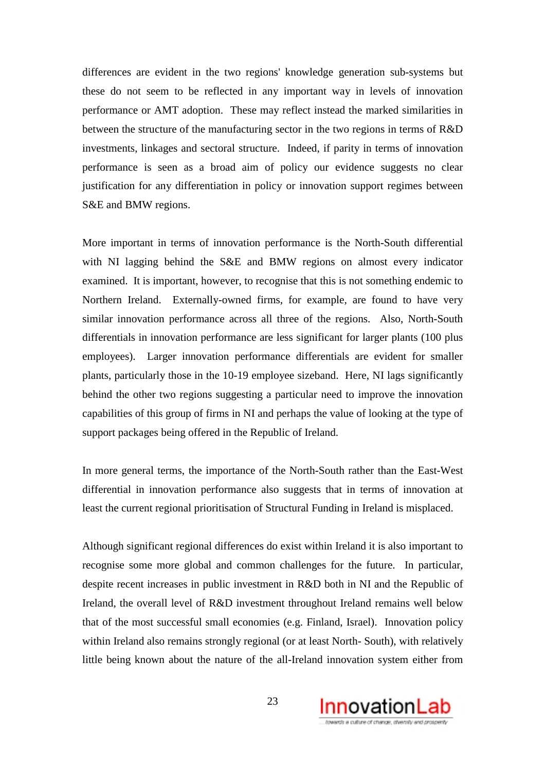differences are evident in the two regions' knowledge generation sub-systems but these do not seem to be reflected in any important way in levels of innovation performance or AMT adoption. These may reflect instead the marked similarities in between the structure of the manufacturing sector in the two regions in terms of R&D investments, linkages and sectoral structure. Indeed, if parity in terms of innovation performance is seen as a broad aim of policy our evidence suggests no clear justification for any differentiation in policy or innovation support regimes between S&E and BMW regions.

More important in terms of innovation performance is the North-South differential with NI lagging behind the S&E and BMW regions on almost every indicator examined. It is important, however, to recognise that this is not something endemic to Northern Ireland. Externally-owned firms, for example, are found to have very similar innovation performance across all three of the regions. Also, North-South differentials in innovation performance are less significant for larger plants (100 plus employees). Larger innovation performance differentials are evident for smaller plants, particularly those in the 10-19 employee sizeband. Here, NI lags significantly behind the other two regions suggesting a particular need to improve the innovation capabilities of this group of firms in NI and perhaps the value of looking at the type of support packages being offered in the Republic of Ireland.

In more general terms, the importance of the North-South rather than the East-West differential in innovation performance also suggests that in terms of innovation at least the current regional prioritisation of Structural Funding in Ireland is misplaced.

Although significant regional differences do exist within Ireland it is also important to recognise some more global and common challenges for the future. In particular, despite recent increases in public investment in R&D both in NI and the Republic of Ireland, the overall level of R&D investment throughout Ireland remains well below that of the most successful small economies (e.g. Finland, Israel). Innovation policy within Ireland also remains strongly regional (or at least North- South), with relatively little being known about the nature of the all-Ireland innovation system either from

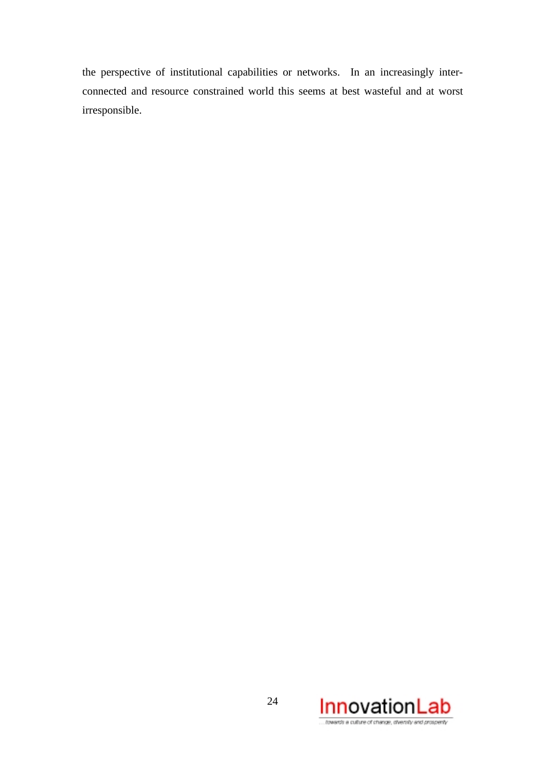the perspective of institutional capabilities or networks. In an increasingly interconnected and resource constrained world this seems at best wasteful and at worst irresponsible.

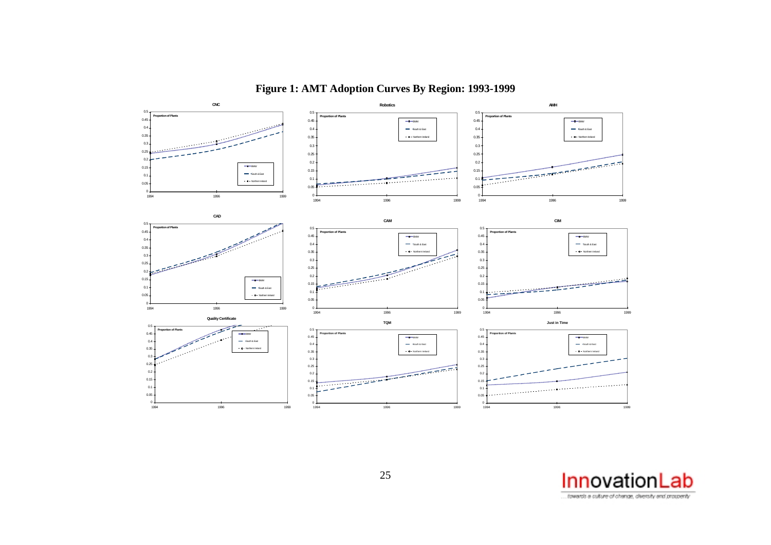

**Figure 1: AMT Adoption Curves By Region: 1993-1999**

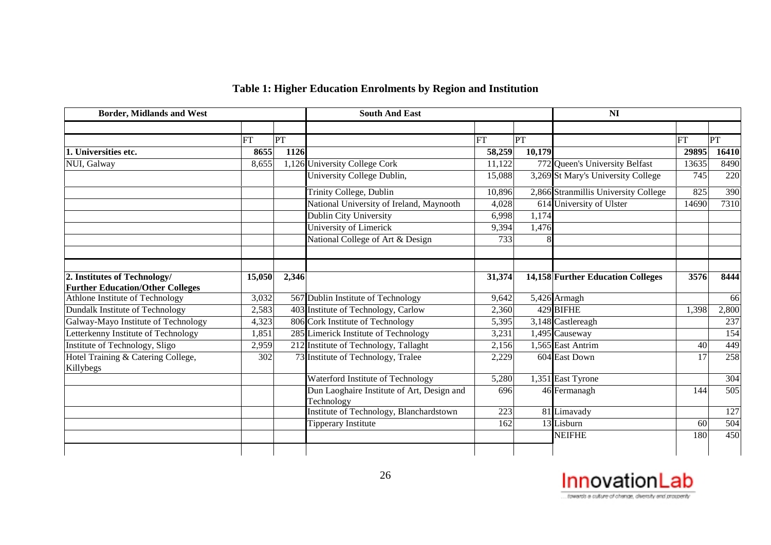| Table 1: Higher Education Enrolments by Region and Institution |  |  |  |
|----------------------------------------------------------------|--|--|--|
|                                                                |  |  |  |

| <b>Border, Midlands and West</b>                                        |           |       | <b>South And East</b>                                    |           | NI     |                                      |           |                  |
|-------------------------------------------------------------------------|-----------|-------|----------------------------------------------------------|-----------|--------|--------------------------------------|-----------|------------------|
|                                                                         |           |       |                                                          |           |        |                                      |           |                  |
|                                                                         | <b>FT</b> | PT    |                                                          | <b>FT</b> | PT     |                                      | <b>FT</b> | PT               |
| 1. Universities etc.                                                    | 8655      | 1126  |                                                          | 58,259    | 10,179 |                                      | 29895     | 16410            |
| NUI, Galway                                                             | 8,655     |       | 1,126 University College Cork                            | 11,122    |        | 772 Queen's University Belfast       | 13635     | 8490             |
|                                                                         |           |       | University College Dublin,                               | 15,088    |        | 3,269 St Mary's University College   | 745       | 220              |
|                                                                         |           |       | Trinity College, Dublin                                  | 10,896    |        | 2,866 Stranmillis University College | 825       | 390              |
|                                                                         |           |       | National University of Ireland, Maynooth                 | 4,028     |        | 614 University of Ulster             | 14690     | 7310             |
|                                                                         |           |       | Dublin City University                                   | 6,998     | 1,174  |                                      |           |                  |
|                                                                         |           |       | University of Limerick                                   | 9,394     | 1,476  |                                      |           |                  |
|                                                                         |           |       | National College of Art & Design                         | 733       |        |                                      |           |                  |
|                                                                         |           |       |                                                          |           |        |                                      |           |                  |
| 2. Institutes of Technology/<br><b>Further Education/Other Colleges</b> | 15,050    | 2,346 |                                                          | 31,374    |        | 14,158 Further Education Colleges    | 3576      | 8444             |
| Athlone Institute of Technology                                         | 3,032     |       | 567 Dublin Institute of Technology                       | 9,642     |        | 5,426 Armagh                         |           | 66               |
| Dundalk Institute of Technology                                         | 2,583     |       | 403 Institute of Technology, Carlow                      | 2,360     |        | 429 BIFHE                            | 1,398     | 2,800            |
| Galway-Mayo Institute of Technology                                     | 4,323     |       | 806 Cork Institute of Technology                         | 5,395     |        | 3,148 Castlereagh                    |           | 237              |
| Letterkenny Institute of Technology                                     | 1,851     |       | 285 Limerick Institute of Technology                     | 3,231     |        | 1,495 Causeway                       |           | 154              |
| Institute of Technology, Sligo                                          | 2,959     |       | 212 Institute of Technology, Tallaght                    | 2,156     |        | 1,565 East Antrim                    | 40        | 449              |
| Hotel Training & Catering College,<br>Killybegs                         | 302       |       | 73 Institute of Technology, Tralee                       | 2,229     |        | 604 East Down                        | 17        | 258              |
|                                                                         |           |       | Waterford Institute of Technology                        | 5,280     |        | 1,351 East Tyrone                    |           | 304              |
|                                                                         |           |       | Dun Laoghaire Institute of Art, Design and<br>Technology | 696       |        | 46 Fermanagh                         | 144       | $\overline{505}$ |
|                                                                         |           |       | Institute of Technology, Blanchardstown                  | 223       |        | 81 Limavady                          |           | 127              |
|                                                                         |           |       | <b>Tipperary Institute</b>                               | 162       |        | 13 Lisburn                           | 60        | 504              |
|                                                                         |           |       |                                                          |           |        | <b>NEIFHE</b>                        | 180       | 450              |
|                                                                         |           |       |                                                          |           |        |                                      |           |                  |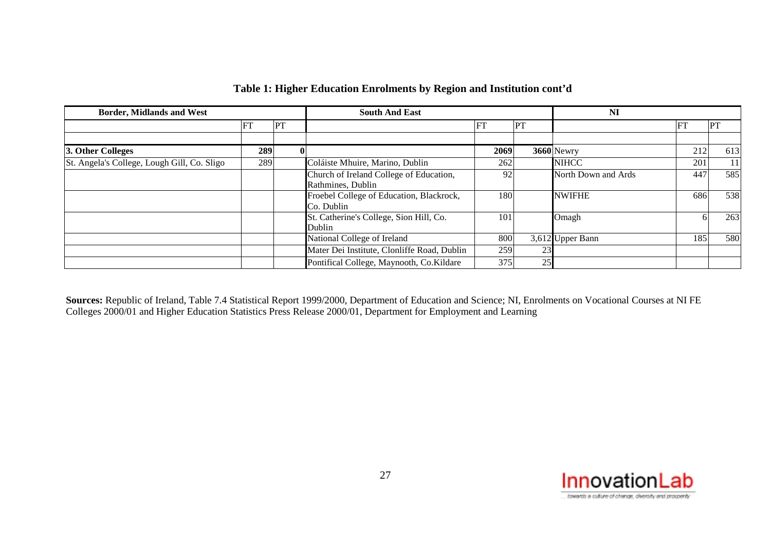| <b>Border, Midlands and West</b>            |     |          | <b>South And East</b>                       |      | NI |                     |     |           |
|---------------------------------------------|-----|----------|---------------------------------------------|------|----|---------------------|-----|-----------|
|                                             | FT  | PT       |                                             | FT   | PT |                     | H.  | <b>PT</b> |
|                                             |     |          |                                             |      |    |                     |     |           |
| 3. Other Colleges                           | 289 | $\bf{0}$ |                                             | 2069 |    | 3660 Newry          | 212 | 613       |
| St. Angela's College, Lough Gill, Co. Sligo | 289 |          | Coláiste Mhuire, Marino, Dublin             | 262  |    | <b>NIHCC</b>        | 201 | 11        |
|                                             |     |          | Church of Ireland College of Education,     | 92   |    | North Down and Ards | 447 | 585       |
|                                             |     |          | Rathmines, Dublin                           |      |    |                     |     |           |
|                                             |     |          | Froebel College of Education, Blackrock,    | 180  |    | <b>NWIFHE</b>       | 686 | 538       |
|                                             |     |          | Co. Dublin                                  |      |    |                     |     |           |
|                                             |     |          | St. Catherine's College, Sion Hill, Co.     | 101  |    | Omagh               |     | 263       |
|                                             |     |          | Dublin                                      |      |    |                     |     |           |
|                                             |     |          | National College of Ireland                 | 800  |    | 3,612 Upper Bann    | 185 | 580       |
|                                             |     |          | Mater Dei Institute, Clonliffe Road, Dublin | 259  | 23 |                     |     |           |
|                                             |     |          | Pontifical College, Maynooth, Co.Kildare    | 375  | 25 |                     |     |           |

## **Table 1: Higher Education Enrolments by Region and Institution cont'd**

**Sources:** Republic of Ireland, Table 7.4 Statistical Report 1999/2000, Department of Education and Science; NI, Enrolments on Vocational Courses at NI FE Colleges 2000/01 and Higher Education Statistics Press Release 2000/01, Department for Employment and Learning

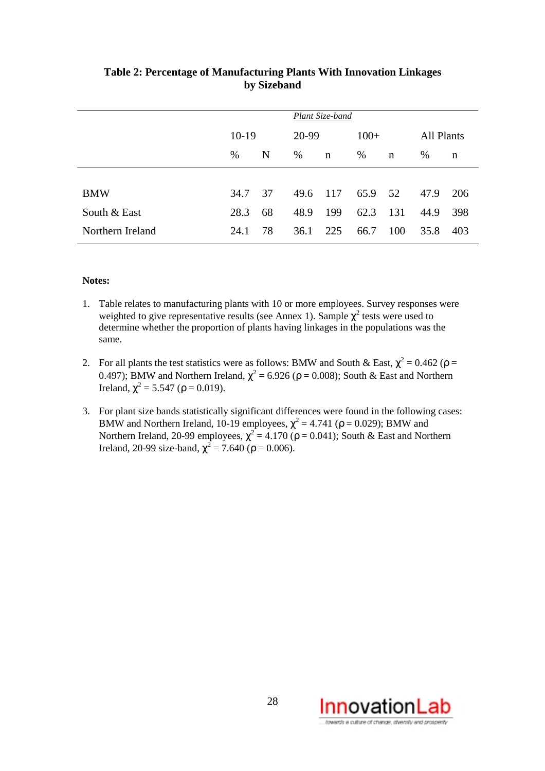|                  |         |    | Plant Size-band |             |         |     |                   |     |
|------------------|---------|----|-----------------|-------------|---------|-----|-------------------|-----|
|                  | $10-19$ |    | 20-99           |             | $100+$  |     | <b>All Plants</b> |     |
|                  | $\%$    | N  | %               | $\mathbf n$ | %       | n   | %                 | n   |
|                  |         |    |                 |             |         |     |                   |     |
| <b>BMW</b>       | 34.7    | 37 | 49.6            | - 117       | 65.9 52 |     | 47.9              | 206 |
| South & East     | 28.3    | 68 | 48.9            | 199         | 62.3    | 131 | 44.9              | 398 |
| Northern Ireland | 24.1    | 78 | 36.1            | 225         | 66.7    | 100 | 35.8              | 403 |

## **Table 2: Percentage of Manufacturing Plants With Innovation Linkages by Sizeband**

#### **Notes:**

- 1. Table relates to manufacturing plants with 10 or more employees. Survey responses were weighted to give representative results (see Annex 1). Sample  $\chi^2$  tests were used to determine whether the proportion of plants having linkages in the populations was the same.
- 2. For all plants the test statistics were as follows: BMW and South & East,  $\chi^2 = 0.462$  ( $\rho =$ 0.497); BMW and Northern Ireland,  $\chi^2$  = 6.926 ( $\rho$  = 0.008); South & East and Northern Ireland,  $\chi^2$  = 5.547 (ρ = 0.019).
- 3. For plant size bands statistically significant differences were found in the following cases: BMW and Northern Ireland, 10-19 employees,  $\chi^2 = 4.741$  ( $\rho = 0.029$ ); BMW and Northern Ireland, 20-99 employees,  $\chi^2$  = 4.170 ( $\rho$  = 0.041); South & East and Northern Ireland, 20-99 size-band,  $\chi^2 = 7.640$  ( $\rho = 0.006$ ).

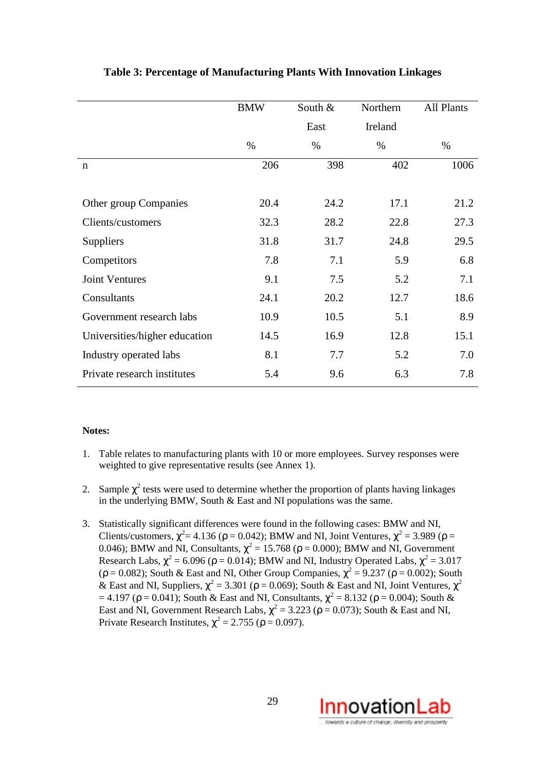|                               | <b>BMW</b> | South &<br>Northern |         | <b>All Plants</b> |
|-------------------------------|------------|---------------------|---------|-------------------|
|                               |            | East                | Ireland |                   |
|                               | $\%$       | $\%$                | $\%$    | $\%$              |
| n                             | 206        | 398                 | 402     | 1006              |
|                               |            |                     |         |                   |
| Other group Companies         | 20.4       | 24.2                | 17.1    | 21.2              |
| Clients/customers             | 32.3       | 28.2                | 22.8    | 27.3              |
| <b>Suppliers</b>              | 31.8       | 31.7                | 24.8    | 29.5              |
| Competitors                   | 7.8        | 7.1                 | 5.9     | 6.8               |
| <b>Joint Ventures</b>         | 9.1        | 7.5                 | 5.2     | 7.1               |
| Consultants                   | 24.1       | 20.2                | 12.7    | 18.6              |
| Government research labs      | 10.9       | 10.5                | 5.1     | 8.9               |
| Universities/higher education | 14.5       | 16.9                | 12.8    | 15.1              |
| Industry operated labs        | 8.1        | 7.7                 | 5.2     | 7.0               |
| Private research institutes   | 5.4        | 9.6                 | 6.3     | 7.8               |
|                               |            |                     |         |                   |

## **Table 3: Percentage of Manufacturing Plants With Innovation Linkages**

#### **Notes:**

- 1. Table relates to manufacturing plants with 10 or more employees. Survey responses were weighted to give representative results (see Annex 1).
- 2. Sample  $\chi^2$  tests were used to determine whether the proportion of plants having linkages in the underlying BMW, South  $& East$  and NI populations was the same.
- 3. Statistically significant differences were found in the following cases: BMW and NI, Clients/customers,  $\chi^2$  = 4.136 ( $\rho$  = 0.042); BMW and NI, Joint Ventures,  $\chi^2$  = 3.989 ( $\rho$  = 0.046); BMW and NI, Consultants,  $\chi^2 = 15.768$  ( $\rho = 0.000$ ); BMW and NI, Government Research Labs,  $\chi^2$  = 6.096 ( $\rho$  = 0.014); BMW and NI, Industry Operated Labs,  $\chi^2$  = 3.017 ( $\rho = 0.082$ ); South & East and NI, Other Group Companies,  $\chi^2 = 9.237$  ( $\rho = 0.002$ ); South & East and NI, Suppliers,  $\chi^2 = 3.301$  ( $\rho = 0.069$ ); South & East and NI, Joint Ventures,  $\chi^2$ = 4.197 (ρ = 0.041); South & East and NI, Consultants,  $\chi^2$  = 8.132 (ρ = 0.004); South & East and NI, Government Research Labs,  $\chi^2$  = 3.223 ( $\rho$  = 0.073); South & East and NI, Private Research Institutes,  $\chi^2 = 2.755$  ( $\rho = 0.097$ ).

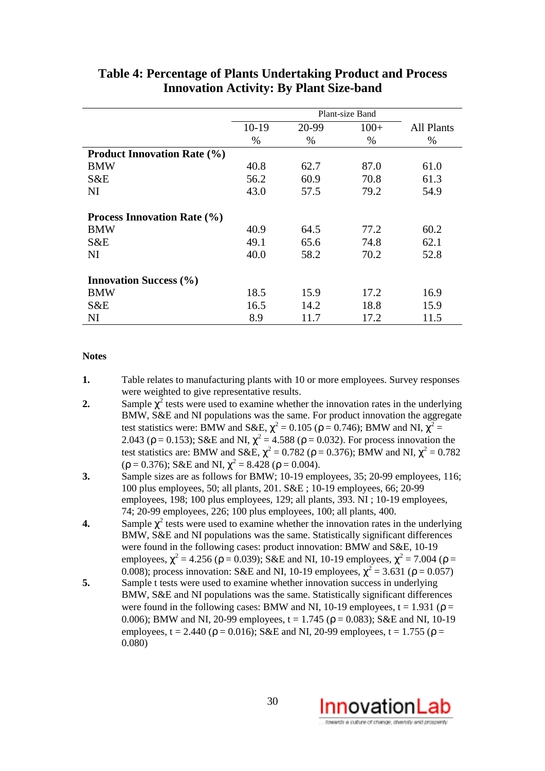|                                    | Plant-size Band |       |        |                   |  |  |  |
|------------------------------------|-----------------|-------|--------|-------------------|--|--|--|
|                                    | $10-19$         | 20-99 | $100+$ | <b>All Plants</b> |  |  |  |
|                                    | $\%$            | $\%$  | $\%$   | $\%$              |  |  |  |
| <b>Product Innovation Rate (%)</b> |                 |       |        |                   |  |  |  |
| <b>BMW</b>                         | 40.8            | 62.7  | 87.0   | 61.0              |  |  |  |
| S&E                                | 56.2            | 60.9  | 70.8   | 61.3              |  |  |  |
| <b>NI</b>                          | 43.0            | 57.5  | 79.2   | 54.9              |  |  |  |
|                                    |                 |       |        |                   |  |  |  |
| <b>Process Innovation Rate (%)</b> |                 |       |        |                   |  |  |  |
| <b>BMW</b>                         | 40.9            | 64.5  | 77.2   | 60.2              |  |  |  |
| S&E                                | 49.1            | 65.6  | 74.8   | 62.1              |  |  |  |
| <b>NI</b>                          | 40.0            | 58.2  | 70.2   | 52.8              |  |  |  |
|                                    |                 |       |        |                   |  |  |  |
| <b>Innovation Success (%)</b>      |                 |       |        |                   |  |  |  |
| <b>BMW</b>                         | 18.5            | 15.9  | 17.2   | 16.9              |  |  |  |
| S&E                                | 16.5            | 14.2  | 18.8   | 15.9              |  |  |  |
| <b>NI</b>                          | 8.9             | 11.7  | 17.2   | 11.5              |  |  |  |

## **Table 4: Percentage of Plants Undertaking Product and Process Innovation Activity: By Plant Size-band**

#### **Notes**

- **1.** Table relates to manufacturing plants with 10 or more employees. Survey responses were weighted to give representative results.
- **2.** Sample  $\chi^2$  tests were used to examine whether the innovation rates in the underlying BMW, S&E and NI populations was the same. For product innovation the aggregate test statistics were: BMW and S&E,  $\chi^2 = 0.105$  ( $\rho = 0.746$ ); BMW and NI,  $\chi^2 =$ 2.043 ( $\rho = 0.153$ ); S&E and NI,  $\chi^2 = 4.588$  ( $\rho = 0.032$ ). For process innovation the test statistics are: BMW and S&E,  $\chi^2 = 0.782$  ( $\rho = 0.376$ ); BMW and NI,  $\chi^2 = 0.782$  $(\rho = 0.376)$ ; S&E and NI,  $\chi^2 = 8.428$  ( $\rho = 0.004$ ).
- **3.** Sample sizes are as follows for BMW; 10-19 employees, 35; 20-99 employees, 116; 100 plus employees, 50; all plants, 201. S&E ; 10-19 employees, 66; 20-99 employees, 198; 100 plus employees, 129; all plants, 393. NI ; 10-19 employees, 74; 20-99 employees, 226; 100 plus employees, 100; all plants, 400.
- **4.** Sample  $\chi^2$  tests were used to examine whether the innovation rates in the underlying BMW, S&E and NI populations was the same. Statistically significant differences were found in the following cases: product innovation: BMW and S&E, 10-19 employees,  $\chi^2 = 4.256$  ( $\rho = 0.039$ ); S&E and NI, 10-19 employees,  $\chi^2 = 7.004$  ( $\rho =$ 0.008); process innovation: S&E and NI, 10-19 employees,  $\chi^2 = 3.631$  ( $\rho = 0.057$ )
- **5.** Sample t tests were used to examine whether innovation success in underlying BMW, S&E and NI populations was the same. Statistically significant differences were found in the following cases: BMW and NI, 10-19 employees,  $t = 1.931$  ( $\rho =$ 0.006); BMW and NI, 20-99 employees,  $t = 1.745$  ( $\rho = 0.083$ ); S&E and NI, 10-19 employees, t = 2.440 ( $\rho$  = 0.016); S&E and NI, 20-99 employees, t = 1.755 ( $\rho$  = 0.080)

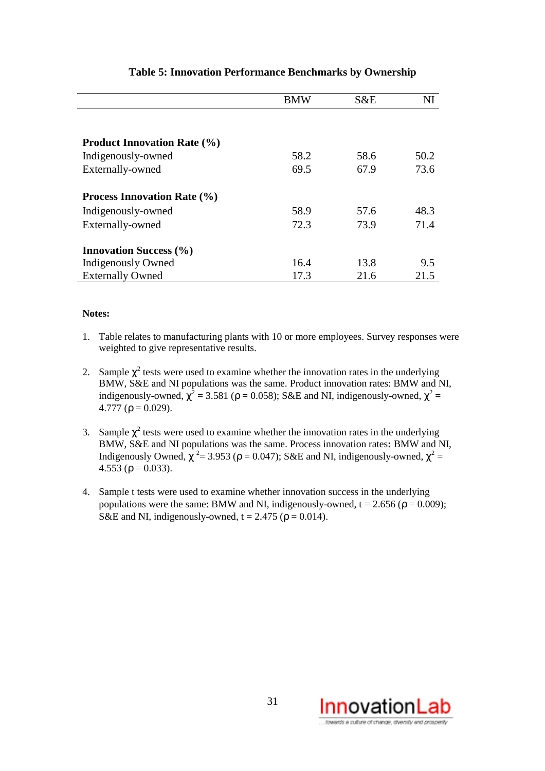|                                    | <b>BMW</b> | S&E  | NI   |
|------------------------------------|------------|------|------|
|                                    |            |      |      |
|                                    |            |      |      |
| <b>Product Innovation Rate (%)</b> |            |      |      |
| Indigenously-owned                 | 58.2       | 58.6 | 50.2 |
| Externally-owned                   | 69.5       | 67.9 | 73.6 |
| <b>Process Innovation Rate (%)</b> |            |      |      |
| Indigenously-owned                 | 58.9       | 57.6 | 48.3 |
| Externally-owned                   | 72.3       | 73.9 | 71.4 |
| <b>Innovation Success (%)</b>      |            |      |      |
| Indigenously Owned                 | 16.4       | 13.8 | 9.5  |
| <b>Externally Owned</b>            | 17.3       | 21.6 | 21.5 |

## **Table 5: Innovation Performance Benchmarks by Ownership**

#### **Notes:**

- 1. Table relates to manufacturing plants with 10 or more employees. Survey responses were weighted to give representative results.
- 2. Sample  $\chi^2$  tests were used to examine whether the innovation rates in the underlying BMW, S&E and NI populations was the same. Product innovation rates: BMW and NI, indigenously-owned,  $\chi^2 = 3.581$  ( $\rho = 0.058$ ); S&E and NI, indigenously-owned,  $\chi^2 =$ 4.777 ( $\rho = 0.029$ ).
- 3. Sample  $\chi^2$  tests were used to examine whether the innovation rates in the underlying BMW, S&E and NI populations was the same. Process innovation rates**:** BMW and NI, Indigenously Owned,  $\chi^2$  = 3.953 ( $\rho$  = 0.047); S&E and NI, indigenously-owned,  $\chi^2$  = 4.553 ( $\rho = 0.033$ ).
- 4. Sample t tests were used to examine whether innovation success in the underlying populations were the same: BMW and NI, indigenously-owned,  $t = 2.656$  ( $\rho = 0.009$ ); S&E and NI, indigenously-owned,  $t = 2.475$  ( $\rho = 0.014$ ).

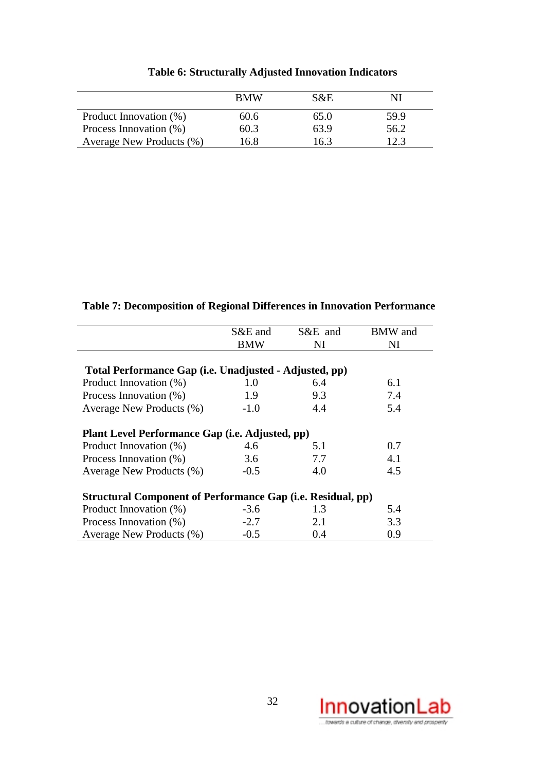|                          | <b>BMW</b> | $S\&E$ |      |
|--------------------------|------------|--------|------|
| Product Innovation (%)   | 60.6       | 65.0   | 59.9 |
| Process Innovation (%)   | 60.3       | 63.9   | 56.2 |
| Average New Products (%) | .6.8       | 16.3   |      |

## **Table 6: Structurally Adjusted Innovation Indicators**

**Table 7: Decomposition of Regional Differences in Innovation Performance**

|                                                                    | S&E and    | S&E and | <b>BMW</b> and |  |  |  |  |  |  |
|--------------------------------------------------------------------|------------|---------|----------------|--|--|--|--|--|--|
|                                                                    |            |         |                |  |  |  |  |  |  |
|                                                                    | <b>BMW</b> | NI      | NI             |  |  |  |  |  |  |
| Total Performance Gap (i.e. Unadjusted - Adjusted, pp)             |            |         |                |  |  |  |  |  |  |
| Product Innovation (%)                                             | 1.0        | 6.4     | 6.1            |  |  |  |  |  |  |
| Process Innovation (%)                                             | 1.9        | 9.3     | 7.4            |  |  |  |  |  |  |
| Average New Products (%)                                           | $-1.0$     | 4.4     | 5.4            |  |  |  |  |  |  |
| Plant Level Performance Gap ( <i>i.e.</i> Adjusted, pp)            |            |         |                |  |  |  |  |  |  |
| Product Innovation (%)                                             | 4.6        | 5.1     | 0.7            |  |  |  |  |  |  |
| Process Innovation (%)                                             | 3.6        | 7.7     | 4.1            |  |  |  |  |  |  |
| Average New Products (%)                                           | $-0.5$     | 4.0     | 4.5            |  |  |  |  |  |  |
| <b>Structural Component of Performance Gap (i.e. Residual, pp)</b> |            |         |                |  |  |  |  |  |  |
| Product Innovation (%)                                             | $-3.6$     | 1.3     | 5.4            |  |  |  |  |  |  |
| Process Innovation (%)                                             | $-2.7$     | 2.1     | 3.3            |  |  |  |  |  |  |
| Average New Products (%)                                           | $-0.5$     | 0.4     | 0.9            |  |  |  |  |  |  |

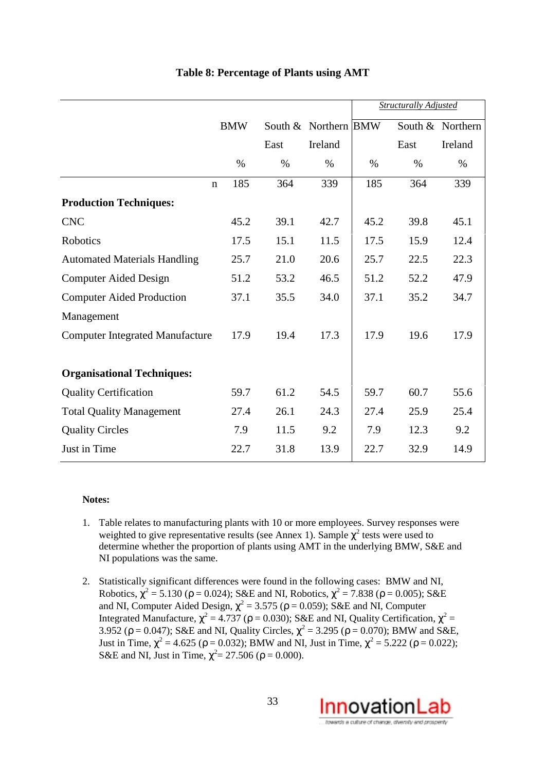|                                        |             |               |      |                      |               | <b>Structurally Adjusted</b> |                  |
|----------------------------------------|-------------|---------------|------|----------------------|---------------|------------------------------|------------------|
|                                        |             | <b>BMW</b>    |      | South & Northern BMW |               |                              | South & Northern |
|                                        |             |               | East | Ireland              |               | East                         | Ireland          |
|                                        |             | $\frac{0}{0}$ | $\%$ | $\%$                 | $\frac{0}{0}$ | $\%$                         | $\%$             |
|                                        | $\mathbf n$ | 185           | 364  | 339                  | 185           | 364                          | 339              |
| <b>Production Techniques:</b>          |             |               |      |                      |               |                              |                  |
| <b>CNC</b>                             |             | 45.2          | 39.1 | 42.7                 | 45.2          | 39.8                         | 45.1             |
| <b>Robotics</b>                        |             | 17.5          | 15.1 | 11.5                 | 17.5          | 15.9                         | 12.4             |
| <b>Automated Materials Handling</b>    |             | 25.7          | 21.0 | 20.6                 | 25.7          | 22.5                         | 22.3             |
| <b>Computer Aided Design</b>           |             | 51.2          | 53.2 | 46.5                 | 51.2          | 52.2                         | 47.9             |
| <b>Computer Aided Production</b>       |             | 37.1          | 35.5 | 34.0                 | 37.1          | 35.2                         | 34.7             |
| Management                             |             |               |      |                      |               |                              |                  |
| <b>Computer Integrated Manufacture</b> |             | 17.9          | 19.4 | 17.3                 | 17.9          | 19.6                         | 17.9             |
|                                        |             |               |      |                      |               |                              |                  |
| <b>Organisational Techniques:</b>      |             |               |      |                      |               |                              |                  |
| <b>Quality Certification</b>           |             | 59.7          | 61.2 | 54.5                 | 59.7          | 60.7                         | 55.6             |
| <b>Total Quality Management</b>        |             | 27.4          | 26.1 | 24.3                 | 27.4          | 25.9                         | 25.4             |
| <b>Quality Circles</b>                 |             | 7.9           | 11.5 | 9.2                  | 7.9           | 12.3                         | 9.2              |
| Just in Time                           |             | 22.7          | 31.8 | 13.9                 | 22.7          | 32.9                         | 14.9             |

## **Table 8: Percentage of Plants using AMT**

#### **Notes:**

- 1. Table relates to manufacturing plants with 10 or more employees. Survey responses were weighted to give representative results (see Annex 1). Sample  $\chi^2$  tests were used to determine whether the proportion of plants using AMT in the underlying BMW, S&E and NI populations was the same.
- 2. Statistically significant differences were found in the following cases: BMW and NI, Robotics,  $\chi^2$  = 5.130 ( $\rho$  = 0.024); S&E and NI, Robotics,  $\chi^2$  = 7.838 ( $\rho$  = 0.005); S&E and NI, Computer Aided Design,  $\chi^2$  = 3.575 ( $\rho$  = 0.059); S&E and NI, Computer Integrated Manufacture,  $\chi^2$  = 4.737 ( $\rho$  = 0.030); S&E and NI, Quality Certification,  $\chi^2$  = 3.952 ( $\rho = 0.047$ ); S&E and NI, Quality Circles,  $\chi^2 = 3.295$  ( $\rho = 0.070$ ); BMW and S&E, Just in Time,  $\chi^2 = 4.625$  ( $\rho = 0.032$ ); BMW and NI, Just in Time,  $\chi^2 = 5.222$  ( $\rho = 0.022$ ); S&E and NI, Just in Time,  $\chi^2 = 27.506$  ( $\rho = 0.000$ ).

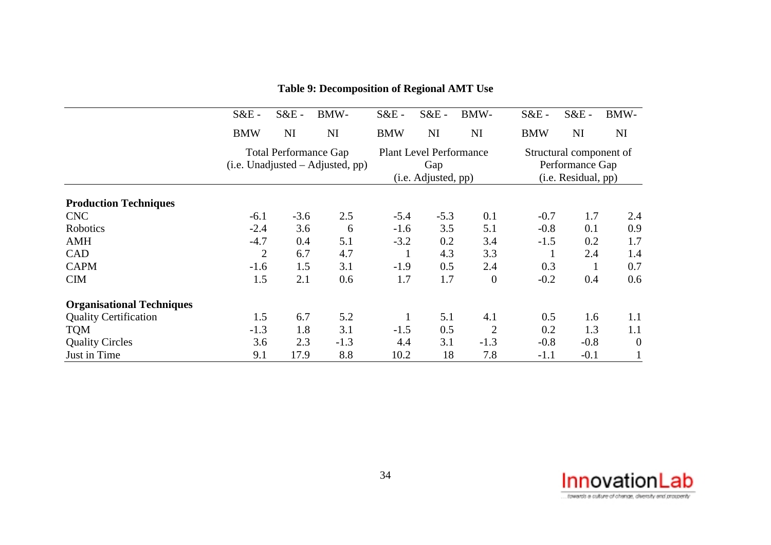|                                  | $S&E$ -        | $S&E$ - | BMW-                                                               | $S&E$ -                                                      | $S&E$ - | BMW-             | $S&E$ -                                                           | $S&E$ - | BMW-           |
|----------------------------------|----------------|---------|--------------------------------------------------------------------|--------------------------------------------------------------|---------|------------------|-------------------------------------------------------------------|---------|----------------|
|                                  | <b>BMW</b>     | NI      | NI                                                                 | <b>BMW</b>                                                   | NI      | NI               | <b>BMW</b>                                                        | NI      | NI             |
|                                  |                |         | <b>Total Performance Gap</b><br>$(i.e. Unadjusted - Adjusted, pp)$ | <b>Plant Level Performance</b><br>Gap<br>(i.e. Adjusted, pp) |         |                  | Structural component of<br>Performance Gap<br>(i.e. Residual, pp) |         |                |
| <b>Production Techniques</b>     |                |         |                                                                    |                                                              |         |                  |                                                                   |         |                |
| <b>CNC</b>                       | $-6.1$         | $-3.6$  | 2.5                                                                | $-5.4$                                                       | $-5.3$  | 0.1              | $-0.7$                                                            | 1.7     | 2.4            |
| Robotics                         | $-2.4$         | 3.6     | 6                                                                  | $-1.6$                                                       | 3.5     | 5.1              | $-0.8$                                                            | 0.1     | 0.9            |
| <b>AMH</b>                       | $-4.7$         | 0.4     | 5.1                                                                | $-3.2$                                                       | 0.2     | 3.4              | $-1.5$                                                            | 0.2     | 1.7            |
| CAD                              | $\overline{2}$ | 6.7     | 4.7                                                                |                                                              | 4.3     | 3.3              |                                                                   | 2.4     | 1.4            |
| <b>CAPM</b>                      | $-1.6$         | 1.5     | 3.1                                                                | $-1.9$                                                       | 0.5     | 2.4              | 0.3                                                               |         | 0.7            |
| <b>CIM</b>                       | 1.5            | 2.1     | 0.6                                                                | 1.7                                                          | 1.7     | $\boldsymbol{0}$ | $-0.2$                                                            | 0.4     | 0.6            |
| <b>Organisational Techniques</b> |                |         |                                                                    |                                                              |         |                  |                                                                   |         |                |
| <b>Quality Certification</b>     | 1.5            | 6.7     | 5.2                                                                |                                                              | 5.1     | 4.1              | 0.5                                                               | 1.6     | 1.1            |
| <b>TQM</b>                       | $-1.3$         | 1.8     | 3.1                                                                | $-1.5$                                                       | 0.5     | $\overline{2}$   | 0.2                                                               | 1.3     | 1.1            |
| <b>Quality Circles</b>           | 3.6            | 2.3     | $-1.3$                                                             | 4.4                                                          | 3.1     | $-1.3$           | $-0.8$                                                            | $-0.8$  | $\overline{0}$ |
| Just in Time                     | 9.1            | 17.9    | 8.8                                                                | 10.2                                                         | 18      | 7.8              | $-1.1$                                                            | $-0.1$  |                |

## **Table 9: Decomposition of Regional AMT Use**

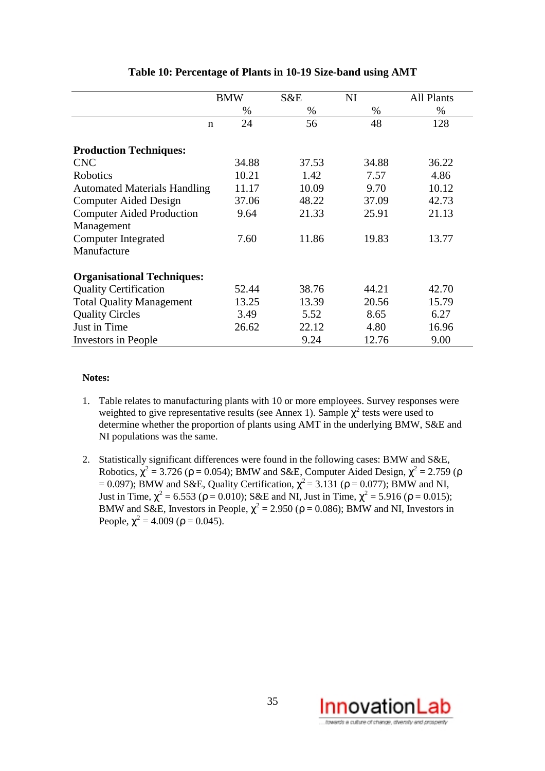|                                     | <b>BMW</b> | S&E   | NI    | All Plants |
|-------------------------------------|------------|-------|-------|------------|
|                                     | $\%$       | $\%$  | $\%$  | %          |
| $\mathbf n$                         | 24         | 56    | 48    | 128        |
| <b>Production Techniques:</b>       |            |       |       |            |
| <b>CNC</b>                          | 34.88      | 37.53 | 34.88 | 36.22      |
| Robotics                            | 10.21      | 1.42  | 7.57  | 4.86       |
| <b>Automated Materials Handling</b> | 11.17      | 10.09 | 9.70  | 10.12      |
| <b>Computer Aided Design</b>        | 37.06      | 48.22 | 37.09 | 42.73      |
| <b>Computer Aided Production</b>    | 9.64       | 21.33 | 25.91 | 21.13      |
| Management                          |            |       |       |            |
| <b>Computer Integrated</b>          | 7.60       | 11.86 | 19.83 | 13.77      |
| Manufacture                         |            |       |       |            |
| <b>Organisational Techniques:</b>   |            |       |       |            |
| <b>Quality Certification</b>        | 52.44      | 38.76 | 44.21 | 42.70      |
| <b>Total Quality Management</b>     | 13.25      | 13.39 | 20.56 | 15.79      |
| <b>Quality Circles</b>              | 3.49       | 5.52  | 8.65  | 6.27       |
| Just in Time                        | 26.62      | 22.12 | 4.80  | 16.96      |
| Investors in People                 |            | 9.24  | 12.76 | 9.00       |

## **Table 10: Percentage of Plants in 10-19 Size-band using AMT**

#### **Notes:**

- 1. Table relates to manufacturing plants with 10 or more employees. Survey responses were weighted to give representative results (see Annex 1). Sample  $\chi^2$  tests were used to determine whether the proportion of plants using AMT in the underlying BMW, S&E and NI populations was the same.
- 2. Statistically significant differences were found in the following cases: BMW and S&E, Robotics,  $\chi^2$  = 3.726 ( $\rho$  = 0.054); BMW and S&E, Computer Aided Design,  $\chi^2$  = 2.759 ( $\rho$ = 0.097); BMW and S&E, Quality Certification,  $\chi^2$  = 3.131 ( $\rho$  = 0.077); BMW and NI, Just in Time,  $\chi^2$  = 6.553 (ρ = 0.010); S&E and NI, Just in Time,  $\chi^2$  = 5.916 (ρ = 0.015); BMW and S&E, Investors in People,  $\chi^2 = 2.950$  ( $\rho = 0.086$ ); BMW and NI, Investors in People,  $\chi^2 = 4.009$  ( $\rho = 0.045$ ).

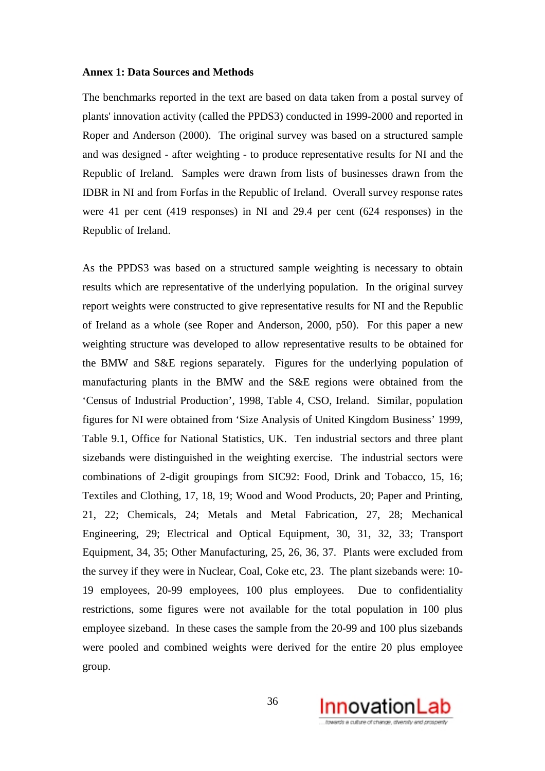#### **Annex 1: Data Sources and Methods**

The benchmarks reported in the text are based on data taken from a postal survey of plants' innovation activity (called the PPDS3) conducted in 1999-2000 and reported in Roper and Anderson (2000). The original survey was based on a structured sample and was designed - after weighting - to produce representative results for NI and the Republic of Ireland. Samples were drawn from lists of businesses drawn from the IDBR in NI and from Forfas in the Republic of Ireland. Overall survey response rates were 41 per cent (419 responses) in NI and 29.4 per cent (624 responses) in the Republic of Ireland.

As the PPDS3 was based on a structured sample weighting is necessary to obtain results which are representative of the underlying population. In the original survey report weights were constructed to give representative results for NI and the Republic of Ireland as a whole (see Roper and Anderson, 2000, p50). For this paper a new weighting structure was developed to allow representative results to be obtained for the BMW and S&E regions separately. Figures for the underlying population of manufacturing plants in the BMW and the S&E regions were obtained from the 'Census of Industrial Production', 1998, Table 4, CSO, Ireland. Similar, population figures for NI were obtained from 'Size Analysis of United Kingdom Business' 1999, Table 9.1, Office for National Statistics, UK. Ten industrial sectors and three plant sizebands were distinguished in the weighting exercise. The industrial sectors were combinations of 2-digit groupings from SIC92: Food, Drink and Tobacco, 15, 16; Textiles and Clothing, 17, 18, 19; Wood and Wood Products, 20; Paper and Printing, 21, 22; Chemicals, 24; Metals and Metal Fabrication, 27, 28; Mechanical Engineering, 29; Electrical and Optical Equipment, 30, 31, 32, 33; Transport Equipment, 34, 35; Other Manufacturing, 25, 26, 36, 37. Plants were excluded from the survey if they were in Nuclear, Coal, Coke etc, 23. The plant sizebands were: 10- 19 employees, 20-99 employees, 100 plus employees. Due to confidentiality restrictions, some figures were not available for the total population in 100 plus employee sizeband. In these cases the sample from the 20-99 and 100 plus sizebands were pooled and combined weights were derived for the entire 20 plus employee group.

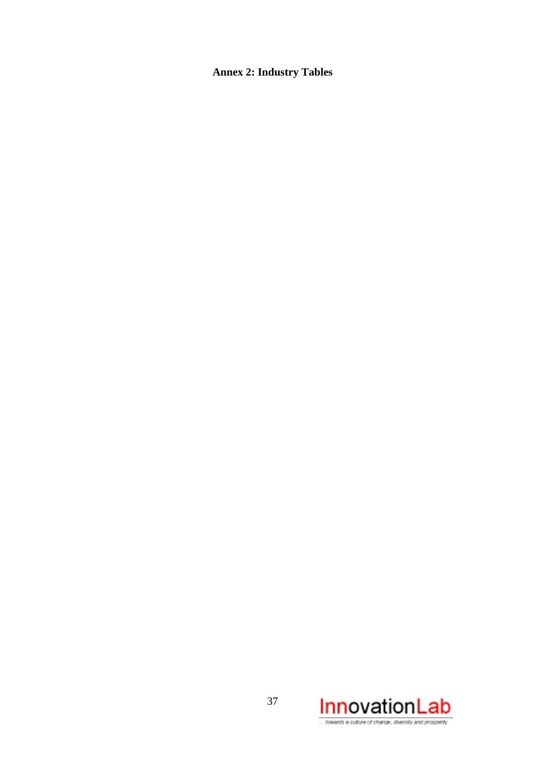## **Annex 2: Industry Tables**



towards a culture of change, diversity and prospenty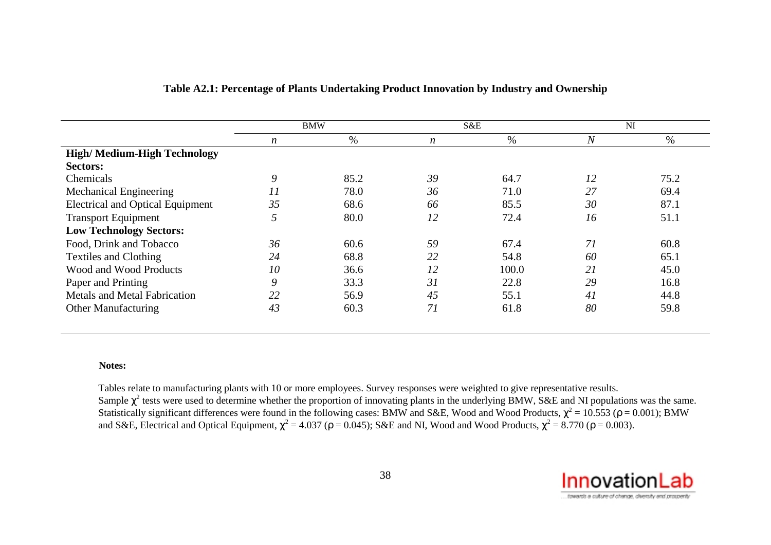|                                         | <b>BMW</b>       |      | S&E              |       | <b>NI</b> |      |
|-----------------------------------------|------------------|------|------------------|-------|-----------|------|
|                                         | $\boldsymbol{n}$ | %    | $\boldsymbol{n}$ | %     | $\it N$   | %    |
| <b>High/Medium-High Technology</b>      |                  |      |                  |       |           |      |
| <b>Sectors:</b>                         |                  |      |                  |       |           |      |
| Chemicals                               | 9                | 85.2 | 39               | 64.7  | 12        | 75.2 |
| <b>Mechanical Engineering</b>           | 11               | 78.0 | 36               | 71.0  | 27        | 69.4 |
| <b>Electrical and Optical Equipment</b> | 35               | 68.6 | 66               | 85.5  | 30        | 87.1 |
| <b>Transport Equipment</b>              | 5                | 80.0 | 12               | 72.4  | 16        | 51.1 |
| <b>Low Technology Sectors:</b>          |                  |      |                  |       |           |      |
| Food, Drink and Tobacco                 | 36               | 60.6 | 59               | 67.4  | 71        | 60.8 |
| <b>Textiles and Clothing</b>            | 24               | 68.8 | 22               | 54.8  | 60        | 65.1 |
| Wood and Wood Products                  | 10               | 36.6 | 12               | 100.0 | 21        | 45.0 |
| Paper and Printing                      | 9                | 33.3 | 31               | 22.8  | 29        | 16.8 |
| <b>Metals and Metal Fabrication</b>     | 22               | 56.9 | 45               | 55.1  | 41        | 44.8 |
| <b>Other Manufacturing</b>              | 43               | 60.3 | 71               | 61.8  | 80        | 59.8 |

### **Table A2.1: Percentage of Plants Undertaking Product Innovation by Industry and Ownership**

#### **Notes:**

Tables relate to manufacturing plants with 10 or more employees. Survey responses were weighted to give representative results. Sample  $\chi^2$  tests were used to determine whether the proportion of innovating plants in the underlying BMW, S&E and NI populations was the same. Statistically significant differences were found in the following cases: BMW and S&E, Wood and Wood Products,  $\chi^2$  = 10.553 ( $\rho$  = 0.001); BMW and S&E, Electrical and Optical Equipment,  $\chi^2$  = 4.037 ( $\rho$  = 0.045); S&E and NI, Wood and Wood Products,  $\chi^2$  = 8.770 ( $\rho$  = 0.003).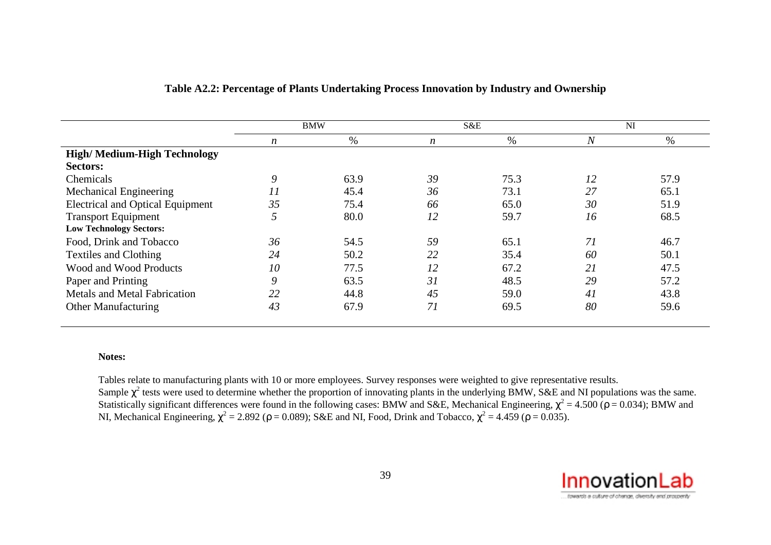|                                         | <b>BMW</b>       |      | S&E              |      | <b>NI</b>      |      |
|-----------------------------------------|------------------|------|------------------|------|----------------|------|
|                                         | $\boldsymbol{n}$ | %    | $\boldsymbol{n}$ | %    | $\overline{N}$ | %    |
| <b>High/Medium-High Technology</b>      |                  |      |                  |      |                |      |
| Sectors:                                |                  |      |                  |      |                |      |
| Chemicals                               | 9                | 63.9 | 39               | 75.3 | 12             | 57.9 |
| <b>Mechanical Engineering</b>           | 11               | 45.4 | 36               | 73.1 | 27             | 65.1 |
| <b>Electrical and Optical Equipment</b> | 35               | 75.4 | 66               | 65.0 | 30             | 51.9 |
| <b>Transport Equipment</b>              | 5                | 80.0 | 12               | 59.7 | 16             | 68.5 |
| <b>Low Technology Sectors:</b>          |                  |      |                  |      |                |      |
| Food, Drink and Tobacco                 | 36               | 54.5 | 59               | 65.1 | 71             | 46.7 |
| <b>Textiles and Clothing</b>            | 24               | 50.2 | 22               | 35.4 | 60             | 50.1 |
| Wood and Wood Products                  | 10               | 77.5 | 12               | 67.2 | 21             | 47.5 |
| Paper and Printing                      | 9                | 63.5 | 31               | 48.5 | 29             | 57.2 |
| <b>Metals and Metal Fabrication</b>     | 22               | 44.8 | 45               | 59.0 | 41             | 43.8 |
| <b>Other Manufacturing</b>              | 43               | 67.9 | 71               | 69.5 | 80             | 59.6 |

### **Table A2.2: Percentage of Plants Undertaking Process Innovation by Industry and Ownership**

#### **Notes:**

Tables relate to manufacturing plants with 10 or more employees. Survey responses were weighted to give representative results.

Sample  $\chi^2$  tests were used to determine whether the proportion of innovating plants in the underlying BMW, S&E and NI populations was the same. Statistically significant differences were found in the following cases: BMW and S&E, Mechanical Engineering,  $\chi^2$  = 4.500 ( $\rho$  = 0.034); BMW and NI, Mechanical Engineering,  $\chi^2 = 2.892$  ( $\rho = 0.089$ ); S&E and NI, Food, Drink and Tobacco,  $\chi^2 = 4.459$  ( $\rho = 0.035$ ).

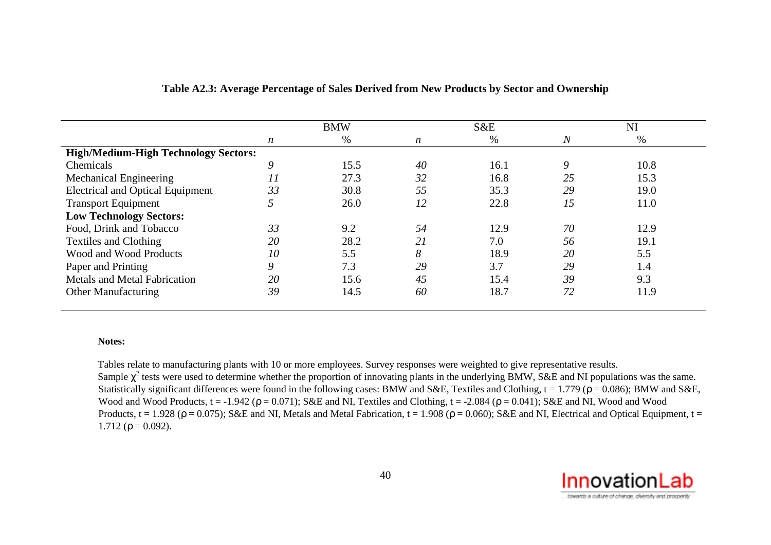|                                             | <b>BMW</b> |      | S&E              |      | NI             |      |
|---------------------------------------------|------------|------|------------------|------|----------------|------|
|                                             | n          | $\%$ | $\boldsymbol{n}$ | %    | $\overline{N}$ | %    |
| <b>High/Medium-High Technology Sectors:</b> |            |      |                  |      |                |      |
| Chemicals                                   | 9          | 15.5 | 40               | 16.1 | 9              | 10.8 |
| Mechanical Engineering                      | 11         | 27.3 | 32               | 16.8 | 25             | 15.3 |
| <b>Electrical and Optical Equipment</b>     | 33         | 30.8 | 55               | 35.3 | 29             | 19.0 |
| <b>Transport Equipment</b>                  |            | 26.0 | 12               | 22.8 | 15             | 11.0 |
| <b>Low Technology Sectors:</b>              |            |      |                  |      |                |      |
| Food, Drink and Tobacco                     | 33         | 9.2  | 54               | 12.9 | 70             | 12.9 |
| <b>Textiles and Clothing</b>                | 20         | 28.2 | 21               | 7.0  | 56             | 19.1 |
| Wood and Wood Products                      | 10         | 5.5  | 8                | 18.9 | 20             | 5.5  |
| Paper and Printing                          | 9          | 7.3  | 29               | 3.7  | 29             | 1.4  |
| <b>Metals and Metal Fabrication</b>         | 20         | 15.6 | 45               | 15.4 | 39             | 9.3  |
| <b>Other Manufacturing</b>                  | 39         | 14.5 | 60               | 18.7 | 72             | 11.9 |

#### **Table A2.3: Average Percentage of Sales Derived from New Products by Sector and Ownership**

#### **Notes:**

Tables relate to manufacturing plants with 10 or more employees. Survey responses were weighted to give representative results. Sample  $\chi^2$  tests were used to determine whether the proportion of innovating plants in the underlying BMW, S&E and NI populations was the same. Statistically significant differences were found in the following cases: BMW and S&E, Textiles and Clothing,  $t = 1.779$  ( $\rho = 0.086$ ); BMW and S&E, Wood and Wood Products,  $t = -1.942$  ( $\rho = 0.071$ ); S&E and NI, Textiles and Clothing,  $t = -2.084$  ( $\rho = 0.041$ ); S&E and NI, Wood and Wood Products,  $t = 1.928$  ( $\rho = 0.075$ ); S&E and NI, Metals and Metal Fabrication,  $t = 1.908$  ( $\rho = 0.060$ ); S&E and NI, Electrical and Optical Equipment,  $t =$ 1.712 ( $\rho = 0.092$ ).

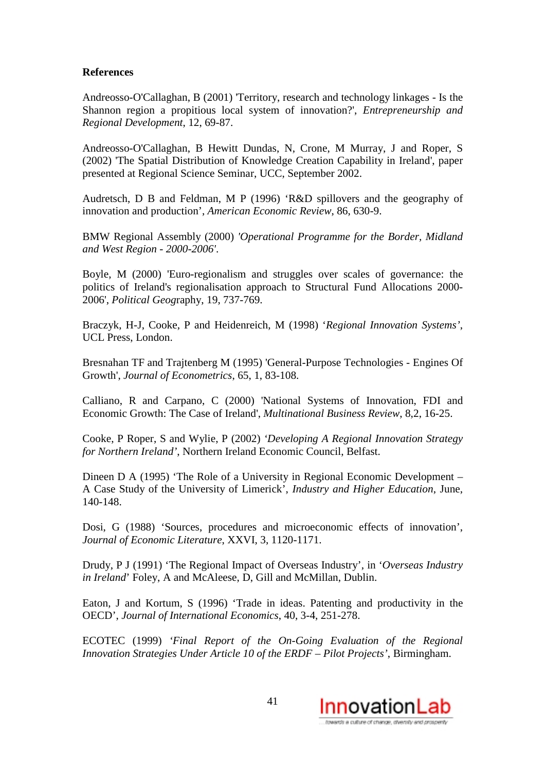### **References**

Andreosso-O'Callaghan, B (2001) 'Territory, research and technology linkages - Is the Shannon region a propitious local system of innovation?', *Entrepreneurship and Regional Development*, 12, 69-87.

Andreosso-O'Callaghan, B Hewitt Dundas, N, Crone, M Murray, J and Roper, S (2002) 'The Spatial Distribution of Knowledge Creation Capability in Ireland', paper presented at Regional Science Seminar, UCC, September 2002.

Audretsch, D B and Feldman, M P (1996) 'R&D spillovers and the geography of innovation and production', *American Economic Review*, 86, 630-9.

BMW Regional Assembly (2000) *'Operational Programme for the Border, Midland and West Region - 2000-2006'*.

Boyle, M (2000) 'Euro-regionalism and struggles over scales of governance: the politics of Ireland's regionalisation approach to Structural Fund Allocations 2000- 2006', *Political Geog*raphy, 19, 737-769.

Braczyk, H-J, Cooke, P and Heidenreich, M (1998) '*Regional Innovation Systems'*, UCL Press, London.

Bresnahan TF and Trajtenberg M (1995) 'General-Purpose Technologies - Engines Of Growth', *Journal of Econometrics*, 65, 1, 83-108.

Calliano, R and Carpano, C (2000) 'National Systems of Innovation, FDI and Economic Growth: The Case of Ireland', *Multinational Business Review*, 8,2, 16-25.

Cooke, P Roper, S and Wylie, P (2002) *'Developing A Regional Innovation Strategy for Northern Ireland'*, Northern Ireland Economic Council, Belfast.

Dineen D A (1995) 'The Role of a University in Regional Economic Development – A Case Study of the University of Limerick', *Industry and Higher Education*, June, 140-148.

Dosi, G (1988) 'Sources, procedures and microeconomic effects of innovation', *Journal of Economic Literature*, XXVI, 3, 1120-1171.

Drudy, P J (1991) 'The Regional Impact of Overseas Industry', in '*Overseas Industry in Ireland*' Foley, A and McAleese, D, Gill and McMillan, Dublin.

Eaton, J and Kortum, S (1996) 'Trade in ideas. Patenting and productivity in the OECD', *Journal of International Economics*, 40, 3-4, 251-278.

ECOTEC (1999) *'Final Report of the On-Going Evaluation of the Regional Innovation Strategies Under Article 10 of the ERDF – Pilot Projects'*, Birmingham.

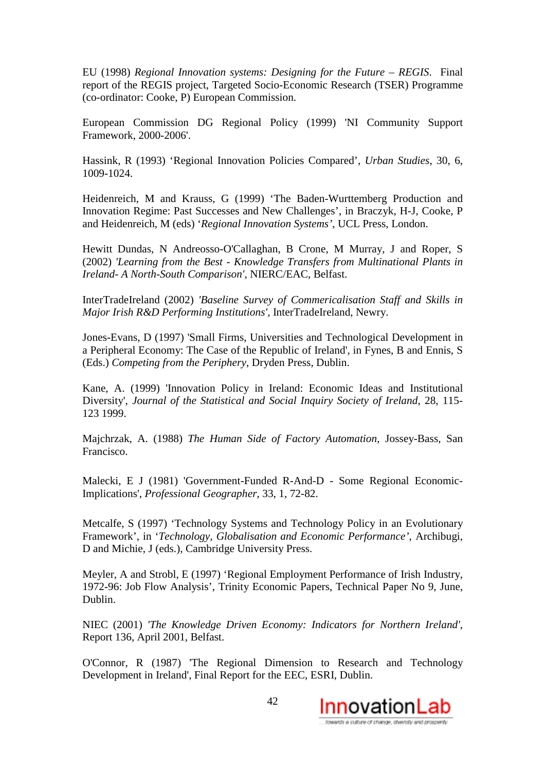EU (1998) *Regional Innovation systems: Designing for the Future – REGIS*. Final report of the REGIS project, Targeted Socio-Economic Research (TSER) Programme (co-ordinator: Cooke, P) European Commission.

European Commission DG Regional Policy (1999) 'NI Community Support Framework, 2000-2006'.

Hassink, R (1993) 'Regional Innovation Policies Compared', *Urban Studies*, 30, 6, 1009-1024.

Heidenreich, M and Krauss, G (1999) 'The Baden-Wurttemberg Production and Innovation Regime: Past Successes and New Challenges', in Braczyk, H-J, Cooke, P and Heidenreich, M (eds) '*Regional Innovation Systems'*, UCL Press, London.

Hewitt Dundas, N Andreosso-O'Callaghan, B Crone, M Murray, J and Roper, S (2002) *'Learning from the Best - Knowledge Transfers from Multinational Plants in Ireland- A North-South Comparison'*, NIERC/EAC, Belfast.

InterTradeIreland (2002) *'Baseline Survey of Commericalisation Staff and Skills in Major Irish R&D Performing Institutions'*, InterTradeIreland, Newry.

Jones-Evans, D (1997) 'Small Firms, Universities and Technological Development in a Peripheral Economy: The Case of the Republic of Ireland', in Fynes, B and Ennis, S (Eds.) *Competing from the Periphery*, Dryden Press, Dublin.

Kane, A. (1999) 'Innovation Policy in Ireland: Economic Ideas and Institutional Diversity', *Journal of the Statistical and Social Inquiry Society of Ireland*, 28, 115- 123 1999.

Majchrzak, A. (1988) *The Human Side of Factory Automation*, Jossey-Bass, San Francisco.

Malecki, E J (1981) 'Government-Funded R-And-D - Some Regional Economic-Implications', *Professional Geographer*, 33, 1, 72-82.

Metcalfe, S (1997) 'Technology Systems and Technology Policy in an Evolutionary Framework', in '*Technology, Globalisation and Economic Performance'*, Archibugi, D and Michie, J (eds.), Cambridge University Press.

Meyler, A and Strobl, E (1997) 'Regional Employment Performance of Irish Industry, 1972-96: Job Flow Analysis', Trinity Economic Papers, Technical Paper No 9, June, Dublin.

NIEC (2001) *'The Knowledge Driven Economy: Indicators for Northern Ireland'*, Report 136, April 2001, Belfast.

O'Connor, R (1987) 'The Regional Dimension to Research and Technology Development in Ireland', Final Report for the EEC, ESRI, Dublin.

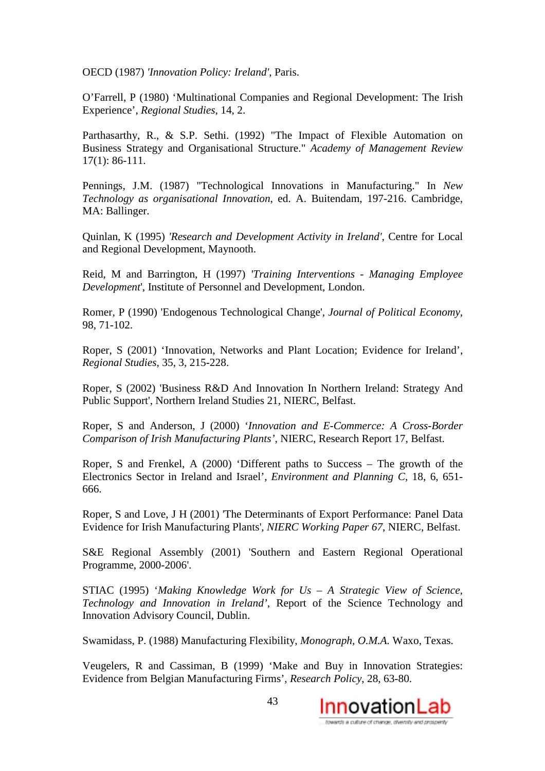OECD (1987) *'Innovation Policy: Ireland'*, Paris.

O'Farrell, P (1980) 'Multinational Companies and Regional Development: The Irish Experience', *Regional Studies*, 14, 2.

Parthasarthy, R., & S.P. Sethi. (1992) "The Impact of Flexible Automation on Business Strategy and Organisational Structure." *Academy of Management Review* 17(1): 86-111.

Pennings, J.M. (1987) "Technological Innovations in Manufacturing." In *New Technology as organisational Innovation*, ed. A. Buitendam, 197-216. Cambridge, MA: Ballinger.

Quinlan, K (1995) *'Research and Development Activity in Ireland'*, Centre for Local and Regional Development, Maynooth.

Reid, M and Barrington, H (1997) *'Training Interventions - Managing Employee Development*', Institute of Personnel and Development, London.

Romer, P (1990) 'Endogenous Technological Change', *Journal of Political Economy*, 98, 71-102.

Roper, S (2001) 'Innovation, Networks and Plant Location; Evidence for Ireland', *Regional Studies*, 35, 3, 215-228.

Roper, S (2002) 'Business R&D And Innovation In Northern Ireland: Strategy And Public Support', Northern Ireland Studies 21, NIERC, Belfast.

Roper, S and Anderson, J (2000) '*Innovation and E-Commerce: A Cross-Border Comparison of Irish Manufacturing Plants'*, NIERC, Research Report 17, Belfast.

Roper, S and Frenkel, A (2000) 'Different paths to Success – The growth of the Electronics Sector in Ireland and Israel', *Environment and Planning C*, 18, 6, 651- 666.

Roper, S and Love, J H (2001) 'The Determinants of Export Performance: Panel Data Evidence for Irish Manufacturing Plants'*, NIERC Working Paper 67*, NIERC, Belfast.

S&E Regional Assembly (2001) 'Southern and Eastern Regional Operational Programme, 2000-2006'.

STIAC (1995) '*Making Knowledge Work for Us – A Strategic View of Science, Technology and Innovation in Ireland'*, Report of the Science Technology and Innovation Advisory Council, Dublin.

Swamidass, P. (1988) Manufacturing Flexibility, *Monograph, O.M.A.* Waxo, Texas.

Veugelers, R and Cassiman, B (1999) 'Make and Buy in Innovation Strategies: Evidence from Belgian Manufacturing Firms', *Research Policy*, 28, 63-80.